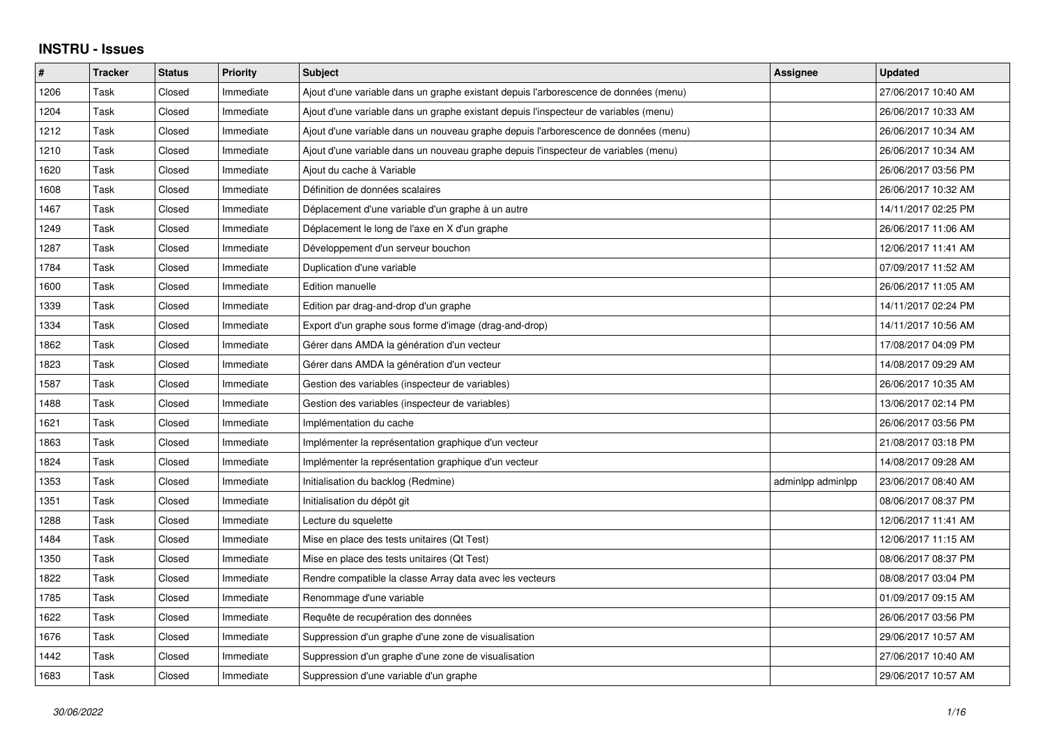## **INSTRU - Issues**

| #    | <b>Tracker</b> | <b>Status</b> | <b>Priority</b> | <b>Subject</b>                                                                       | Assignee          | <b>Updated</b>      |
|------|----------------|---------------|-----------------|--------------------------------------------------------------------------------------|-------------------|---------------------|
| 1206 | Task           | Closed        | Immediate       | Ajout d'une variable dans un graphe existant depuis l'arborescence de données (menu) |                   | 27/06/2017 10:40 AM |
| 1204 | Task           | Closed        | Immediate       | Ajout d'une variable dans un graphe existant depuis l'inspecteur de variables (menu) |                   | 26/06/2017 10:33 AM |
| 1212 | Task           | Closed        | Immediate       | Ajout d'une variable dans un nouveau graphe depuis l'arborescence de données (menu)  |                   | 26/06/2017 10:34 AM |
| 1210 | Task           | Closed        | Immediate       | Ajout d'une variable dans un nouveau graphe depuis l'inspecteur de variables (menu)  |                   | 26/06/2017 10:34 AM |
| 1620 | Task           | Closed        | Immediate       | Ajout du cache à Variable                                                            |                   | 26/06/2017 03:56 PM |
| 1608 | Task           | Closed        | Immediate       | Définition de données scalaires                                                      |                   | 26/06/2017 10:32 AM |
| 1467 | Task           | Closed        | Immediate       | Déplacement d'une variable d'un graphe à un autre                                    |                   | 14/11/2017 02:25 PM |
| 1249 | Task           | Closed        | Immediate       | Déplacement le long de l'axe en X d'un graphe                                        |                   | 26/06/2017 11:06 AM |
| 1287 | Task           | Closed        | Immediate       | Développement d'un serveur bouchon                                                   |                   | 12/06/2017 11:41 AM |
| 1784 | Task           | Closed        | Immediate       | Duplication d'une variable                                                           |                   | 07/09/2017 11:52 AM |
| 1600 | Task           | Closed        | Immediate       | Edition manuelle                                                                     |                   | 26/06/2017 11:05 AM |
| 1339 | Task           | Closed        | Immediate       | Edition par drag-and-drop d'un graphe                                                |                   | 14/11/2017 02:24 PM |
| 1334 | Task           | Closed        | Immediate       | Export d'un graphe sous forme d'image (drag-and-drop)                                |                   | 14/11/2017 10:56 AM |
| 1862 | Task           | Closed        | Immediate       | Gérer dans AMDA la génération d'un vecteur                                           |                   | 17/08/2017 04:09 PM |
| 1823 | Task           | Closed        | Immediate       | Gérer dans AMDA la génération d'un vecteur                                           |                   | 14/08/2017 09:29 AM |
| 1587 | Task           | Closed        | Immediate       | Gestion des variables (inspecteur de variables)                                      |                   | 26/06/2017 10:35 AM |
| 1488 | Task           | Closed        | Immediate       | Gestion des variables (inspecteur de variables)                                      |                   | 13/06/2017 02:14 PM |
| 1621 | Task           | Closed        | Immediate       | Implémentation du cache                                                              |                   | 26/06/2017 03:56 PM |
| 1863 | Task           | Closed        | Immediate       | Implémenter la représentation graphique d'un vecteur                                 |                   | 21/08/2017 03:18 PM |
| 1824 | Task           | Closed        | Immediate       | Implémenter la représentation graphique d'un vecteur                                 |                   | 14/08/2017 09:28 AM |
| 1353 | Task           | Closed        | Immediate       | Initialisation du backlog (Redmine)                                                  | adminlpp adminlpp | 23/06/2017 08:40 AM |
| 1351 | Task           | Closed        | Immediate       | Initialisation du dépôt git                                                          |                   | 08/06/2017 08:37 PM |
| 1288 | Task           | Closed        | Immediate       | Lecture du squelette                                                                 |                   | 12/06/2017 11:41 AM |
| 1484 | Task           | Closed        | Immediate       | Mise en place des tests unitaires (Qt Test)                                          |                   | 12/06/2017 11:15 AM |
| 1350 | Task           | Closed        | Immediate       | Mise en place des tests unitaires (Qt Test)                                          |                   | 08/06/2017 08:37 PM |
| 1822 | Task           | Closed        | Immediate       | Rendre compatible la classe Array data avec les vecteurs                             |                   | 08/08/2017 03:04 PM |
| 1785 | Task           | Closed        | Immediate       | Renommage d'une variable                                                             |                   | 01/09/2017 09:15 AM |
| 1622 | Task           | Closed        | Immediate       | Requête de recupération des données                                                  |                   | 26/06/2017 03:56 PM |
| 1676 | Task           | Closed        | Immediate       | Suppression d'un graphe d'une zone de visualisation                                  |                   | 29/06/2017 10:57 AM |
| 1442 | Task           | Closed        | Immediate       | Suppression d'un graphe d'une zone de visualisation                                  |                   | 27/06/2017 10:40 AM |
| 1683 | Task           | Closed        | Immediate       | Suppression d'une variable d'un graphe                                               |                   | 29/06/2017 10:57 AM |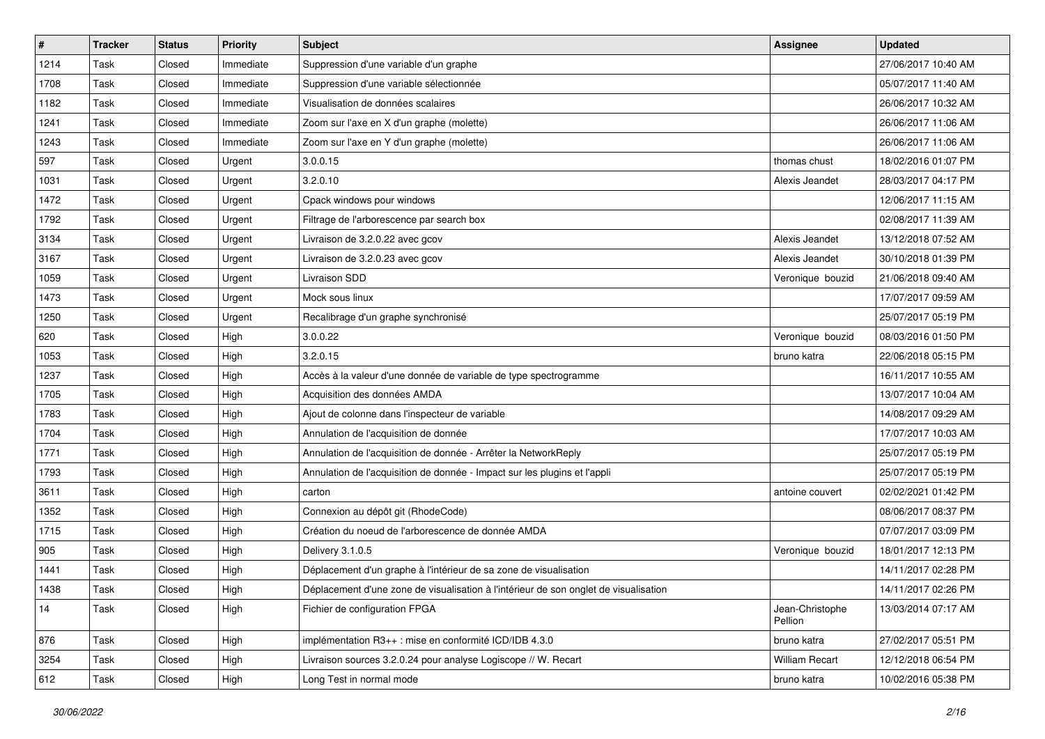| $\vert$ # | Tracker | <b>Status</b> | <b>Priority</b> | <b>Subject</b>                                                                       | <b>Assignee</b>            | <b>Updated</b>      |
|-----------|---------|---------------|-----------------|--------------------------------------------------------------------------------------|----------------------------|---------------------|
| 1214      | Task    | Closed        | Immediate       | Suppression d'une variable d'un graphe                                               |                            | 27/06/2017 10:40 AM |
| 1708      | Task    | Closed        | Immediate       | Suppression d'une variable sélectionnée                                              |                            | 05/07/2017 11:40 AM |
| 1182      | Task    | Closed        | Immediate       | Visualisation de données scalaires                                                   |                            | 26/06/2017 10:32 AM |
| 1241      | Task    | Closed        | Immediate       | Zoom sur l'axe en X d'un graphe (molette)                                            |                            | 26/06/2017 11:06 AM |
| 1243      | Task    | Closed        | Immediate       | Zoom sur l'axe en Y d'un graphe (molette)                                            |                            | 26/06/2017 11:06 AM |
| 597       | Task    | Closed        | Urgent          | 3.0.0.15                                                                             | thomas chust               | 18/02/2016 01:07 PM |
| 1031      | Task    | Closed        | Urgent          | 3.2.0.10                                                                             | Alexis Jeandet             | 28/03/2017 04:17 PM |
| 1472      | Task    | Closed        | Urgent          | Cpack windows pour windows                                                           |                            | 12/06/2017 11:15 AM |
| 1792      | Task    | Closed        | Urgent          | Filtrage de l'arborescence par search box                                            |                            | 02/08/2017 11:39 AM |
| 3134      | Task    | Closed        | Urgent          | Livraison de 3.2.0.22 avec gcov                                                      | Alexis Jeandet             | 13/12/2018 07:52 AM |
| 3167      | Task    | Closed        | Urgent          | Livraison de 3.2.0.23 avec gcov                                                      | Alexis Jeandet             | 30/10/2018 01:39 PM |
| 1059      | Task    | Closed        | Urgent          | Livraison SDD                                                                        | Veronique bouzid           | 21/06/2018 09:40 AM |
| 1473      | Task    | Closed        | Urgent          | Mock sous linux                                                                      |                            | 17/07/2017 09:59 AM |
| 1250      | Task    | Closed        | Urgent          | Recalibrage d'un graphe synchronisé                                                  |                            | 25/07/2017 05:19 PM |
| 620       | Task    | Closed        | High            | 3.0.0.22                                                                             | Veronique bouzid           | 08/03/2016 01:50 PM |
| 1053      | Task    | Closed        | High            | 3.2.0.15                                                                             | bruno katra                | 22/06/2018 05:15 PM |
| 1237      | Task    | Closed        | High            | Accès à la valeur d'une donnée de variable de type spectrogramme                     |                            | 16/11/2017 10:55 AM |
| 1705      | Task    | Closed        | High            | Acquisition des données AMDA                                                         |                            | 13/07/2017 10:04 AM |
| 1783      | Task    | Closed        | High            | Ajout de colonne dans l'inspecteur de variable                                       |                            | 14/08/2017 09:29 AM |
| 1704      | Task    | Closed        | High            | Annulation de l'acquisition de donnée                                                |                            | 17/07/2017 10:03 AM |
| 1771      | Task    | Closed        | High            | Annulation de l'acquisition de donnée - Arrêter la NetworkReply                      |                            | 25/07/2017 05:19 PM |
| 1793      | Task    | Closed        | High            | Annulation de l'acquisition de donnée - Impact sur les plugins et l'appli            |                            | 25/07/2017 05:19 PM |
| 3611      | Task    | Closed        | High            | carton                                                                               | antoine couvert            | 02/02/2021 01:42 PM |
| 1352      | Task    | Closed        | High            | Connexion au dépôt git (RhodeCode)                                                   |                            | 08/06/2017 08:37 PM |
| 1715      | Task    | Closed        | High            | Création du noeud de l'arborescence de donnée AMDA                                   |                            | 07/07/2017 03:09 PM |
| 905       | Task    | Closed        | High            | Delivery 3.1.0.5                                                                     | Veronique bouzid           | 18/01/2017 12:13 PM |
| 1441      | Task    | Closed        | High            | Déplacement d'un graphe à l'intérieur de sa zone de visualisation                    |                            | 14/11/2017 02:28 PM |
| 1438      | Task    | Closed        | High            | Déplacement d'une zone de visualisation à l'intérieur de son onglet de visualisation |                            | 14/11/2017 02:26 PM |
| 14        | Task    | Closed        | High            | Fichier de configuration FPGA                                                        | Jean-Christophe<br>Pellion | 13/03/2014 07:17 AM |
| 876       | Task    | Closed        | High            | implémentation R3++ : mise en conformité ICD/IDB 4.3.0                               | bruno katra                | 27/02/2017 05:51 PM |
| 3254      | Task    | Closed        | High            | Livraison sources 3.2.0.24 pour analyse Logiscope // W. Recart                       | William Recart             | 12/12/2018 06:54 PM |
| 612       | Task    | Closed        | High            | Long Test in normal mode                                                             | bruno katra                | 10/02/2016 05:38 PM |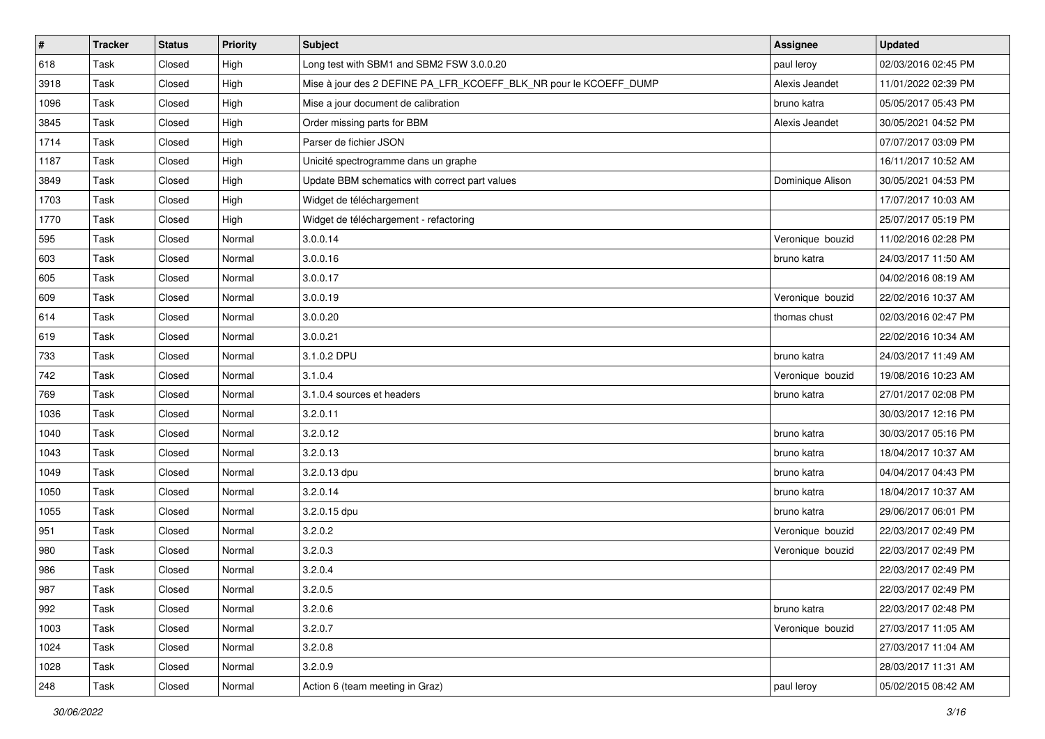| $\sharp$ | <b>Tracker</b> | <b>Status</b> | <b>Priority</b> | <b>Subject</b>                                                    | <b>Assignee</b>  | <b>Updated</b>      |
|----------|----------------|---------------|-----------------|-------------------------------------------------------------------|------------------|---------------------|
| 618      | Task           | Closed        | High            | Long test with SBM1 and SBM2 FSW 3.0.0.20                         | paul leroy       | 02/03/2016 02:45 PM |
| 3918     | Task           | Closed        | High            | Mise à jour des 2 DEFINE PA_LFR_KCOEFF_BLK_NR pour le KCOEFF_DUMP | Alexis Jeandet   | 11/01/2022 02:39 PM |
| 1096     | Task           | Closed        | High            | Mise a jour document de calibration                               | bruno katra      | 05/05/2017 05:43 PM |
| 3845     | Task           | Closed        | High            | Order missing parts for BBM                                       | Alexis Jeandet   | 30/05/2021 04:52 PM |
| 1714     | Task           | Closed        | High            | Parser de fichier JSON                                            |                  | 07/07/2017 03:09 PM |
| 1187     | Task           | Closed        | High            | Unicité spectrogramme dans un graphe                              |                  | 16/11/2017 10:52 AM |
| 3849     | Task           | Closed        | High            | Update BBM schematics with correct part values                    | Dominique Alison | 30/05/2021 04:53 PM |
| 1703     | Task           | Closed        | High            | Widget de téléchargement                                          |                  | 17/07/2017 10:03 AM |
| 1770     | Task           | Closed        | High            | Widget de téléchargement - refactoring                            |                  | 25/07/2017 05:19 PM |
| 595      | Task           | Closed        | Normal          | 3.0.0.14                                                          | Veronique bouzid | 11/02/2016 02:28 PM |
| 603      | Task           | Closed        | Normal          | 3.0.0.16                                                          | bruno katra      | 24/03/2017 11:50 AM |
| 605      | Task           | Closed        | Normal          | 3.0.0.17                                                          |                  | 04/02/2016 08:19 AM |
| 609      | Task           | Closed        | Normal          | 3.0.0.19                                                          | Veronique bouzid | 22/02/2016 10:37 AM |
| 614      | Task           | Closed        | Normal          | 3.0.0.20                                                          | thomas chust     | 02/03/2016 02:47 PM |
| 619      | Task           | Closed        | Normal          | 3.0.0.21                                                          |                  | 22/02/2016 10:34 AM |
| 733      | Task           | Closed        | Normal          | 3.1.0.2 DPU                                                       | bruno katra      | 24/03/2017 11:49 AM |
| 742      | Task           | Closed        | Normal          | 3.1.0.4                                                           | Veronique bouzid | 19/08/2016 10:23 AM |
| 769      | Task           | Closed        | Normal          | 3.1.0.4 sources et headers                                        | bruno katra      | 27/01/2017 02:08 PM |
| 1036     | Task           | Closed        | Normal          | 3.2.0.11                                                          |                  | 30/03/2017 12:16 PM |
| 1040     | Task           | Closed        | Normal          | 3.2.0.12                                                          | bruno katra      | 30/03/2017 05:16 PM |
| 1043     | Task           | Closed        | Normal          | 3.2.0.13                                                          | bruno katra      | 18/04/2017 10:37 AM |
| 1049     | Task           | Closed        | Normal          | 3.2.0.13 dpu                                                      | bruno katra      | 04/04/2017 04:43 PM |
| 1050     | Task           | Closed        | Normal          | 3.2.0.14                                                          | bruno katra      | 18/04/2017 10:37 AM |
| 1055     | Task           | Closed        | Normal          | 3.2.0.15 dpu                                                      | bruno katra      | 29/06/2017 06:01 PM |
| 951      | Task           | Closed        | Normal          | 3.2.0.2                                                           | Veronique bouzid | 22/03/2017 02:49 PM |
| 980      | Task           | Closed        | Normal          | 3.2.0.3                                                           | Veronique bouzid | 22/03/2017 02:49 PM |
| 986      | Task           | Closed        | Normal          | 3.2.0.4                                                           |                  | 22/03/2017 02:49 PM |
| 987      | Task           | Closed        | Normal          | 3.2.0.5                                                           |                  | 22/03/2017 02:49 PM |
| 992      | Task           | Closed        | Normal          | 3.2.0.6                                                           | bruno katra      | 22/03/2017 02:48 PM |
| 1003     | Task           | Closed        | Normal          | 3.2.0.7                                                           | Veronique bouzid | 27/03/2017 11:05 AM |
| 1024     | Task           | Closed        | Normal          | 3.2.0.8                                                           |                  | 27/03/2017 11:04 AM |
| 1028     | Task           | Closed        | Normal          | 3.2.0.9                                                           |                  | 28/03/2017 11:31 AM |
| 248      | Task           | Closed        | Normal          | Action 6 (team meeting in Graz)                                   | paul leroy       | 05/02/2015 08:42 AM |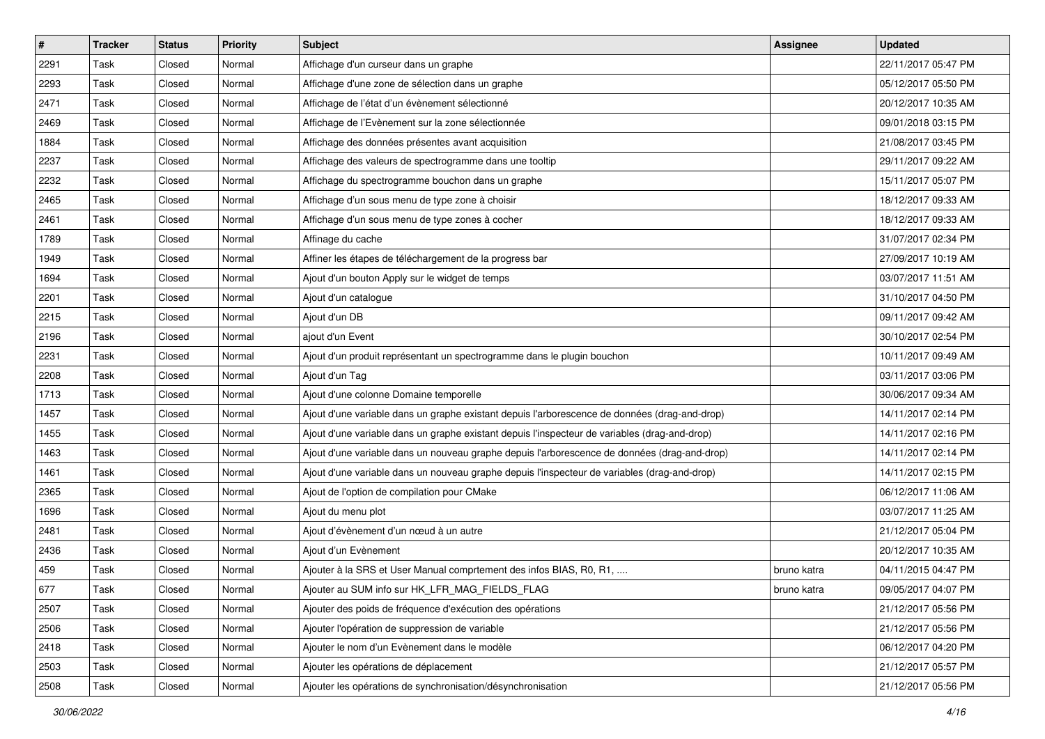| $\sharp$ | <b>Tracker</b> | <b>Status</b> | <b>Priority</b> | Subject                                                                                       | <b>Assignee</b> | <b>Updated</b>      |
|----------|----------------|---------------|-----------------|-----------------------------------------------------------------------------------------------|-----------------|---------------------|
| 2291     | Task           | Closed        | Normal          | Affichage d'un curseur dans un graphe                                                         |                 | 22/11/2017 05:47 PM |
| 2293     | Task           | Closed        | Normal          | Affichage d'une zone de sélection dans un graphe                                              |                 | 05/12/2017 05:50 PM |
| 2471     | Task           | Closed        | Normal          | Affichage de l'état d'un évènement sélectionné                                                |                 | 20/12/2017 10:35 AM |
| 2469     | Task           | Closed        | Normal          | Affichage de l'Evènement sur la zone sélectionnée                                             |                 | 09/01/2018 03:15 PM |
| 1884     | Task           | Closed        | Normal          | Affichage des données présentes avant acquisition                                             |                 | 21/08/2017 03:45 PM |
| 2237     | Task           | Closed        | Normal          | Affichage des valeurs de spectrogramme dans une tooltip                                       |                 | 29/11/2017 09:22 AM |
| 2232     | Task           | Closed        | Normal          | Affichage du spectrogramme bouchon dans un graphe                                             |                 | 15/11/2017 05:07 PM |
| 2465     | Task           | Closed        | Normal          | Affichage d'un sous menu de type zone à choisir                                               |                 | 18/12/2017 09:33 AM |
| 2461     | Task           | Closed        | Normal          | Affichage d'un sous menu de type zones à cocher                                               |                 | 18/12/2017 09:33 AM |
| 1789     | Task           | Closed        | Normal          | Affinage du cache                                                                             |                 | 31/07/2017 02:34 PM |
| 1949     | Task           | Closed        | Normal          | Affiner les étapes de téléchargement de la progress bar                                       |                 | 27/09/2017 10:19 AM |
| 1694     | Task           | Closed        | Normal          | Ajout d'un bouton Apply sur le widget de temps                                                |                 | 03/07/2017 11:51 AM |
| 2201     | Task           | Closed        | Normal          | Ajout d'un catalogue                                                                          |                 | 31/10/2017 04:50 PM |
| 2215     | Task           | Closed        | Normal          | Ajout d'un DB                                                                                 |                 | 09/11/2017 09:42 AM |
| 2196     | Task           | Closed        | Normal          | ajout d'un Event                                                                              |                 | 30/10/2017 02:54 PM |
| 2231     | Task           | Closed        | Normal          | Ajout d'un produit représentant un spectrogramme dans le plugin bouchon                       |                 | 10/11/2017 09:49 AM |
| 2208     | Task           | Closed        | Normal          | Ajout d'un Tag                                                                                |                 | 03/11/2017 03:06 PM |
| 1713     | Task           | Closed        | Normal          | Ajout d'une colonne Domaine temporelle                                                        |                 | 30/06/2017 09:34 AM |
| 1457     | Task           | Closed        | Normal          | Ajout d'une variable dans un graphe existant depuis l'arborescence de données (drag-and-drop) |                 | 14/11/2017 02:14 PM |
| 1455     | Task           | Closed        | Normal          | Ajout d'une variable dans un graphe existant depuis l'inspecteur de variables (drag-and-drop) |                 | 14/11/2017 02:16 PM |
| 1463     | Task           | Closed        | Normal          | Ajout d'une variable dans un nouveau graphe depuis l'arborescence de données (drag-and-drop)  |                 | 14/11/2017 02:14 PM |
| 1461     | Task           | Closed        | Normal          | Ajout d'une variable dans un nouveau graphe depuis l'inspecteur de variables (drag-and-drop)  |                 | 14/11/2017 02:15 PM |
| 2365     | Task           | Closed        | Normal          | Ajout de l'option de compilation pour CMake                                                   |                 | 06/12/2017 11:06 AM |
| 1696     | Task           | Closed        | Normal          | Ajout du menu plot                                                                            |                 | 03/07/2017 11:25 AM |
| 2481     | Task           | Closed        | Normal          | Ajout d'évènement d'un nœud à un autre                                                        |                 | 21/12/2017 05:04 PM |
| 2436     | Task           | Closed        | Normal          | Ajout d'un Evènement                                                                          |                 | 20/12/2017 10:35 AM |
| 459      | Task           | Closed        | Normal          | Ajouter à la SRS et User Manual comprtement des infos BIAS, R0, R1,                           | bruno katra     | 04/11/2015 04:47 PM |
| 677      | Task           | Closed        | Normal          | Ajouter au SUM info sur HK_LFR_MAG_FIELDS_FLAG                                                | bruno katra     | 09/05/2017 04:07 PM |
| 2507     | Task           | Closed        | Normal          | Ajouter des poids de fréquence d'exécution des opérations                                     |                 | 21/12/2017 05:56 PM |
| 2506     | Task           | Closed        | Normal          | Ajouter l'opération de suppression de variable                                                |                 | 21/12/2017 05:56 PM |
| 2418     | Task           | Closed        | Normal          | Ajouter le nom d'un Evènement dans le modèle                                                  |                 | 06/12/2017 04:20 PM |
| 2503     | Task           | Closed        | Normal          | Ajouter les opérations de déplacement                                                         |                 | 21/12/2017 05:57 PM |
| 2508     | Task           | Closed        | Normal          | Ajouter les opérations de synchronisation/désynchronisation                                   |                 | 21/12/2017 05:56 PM |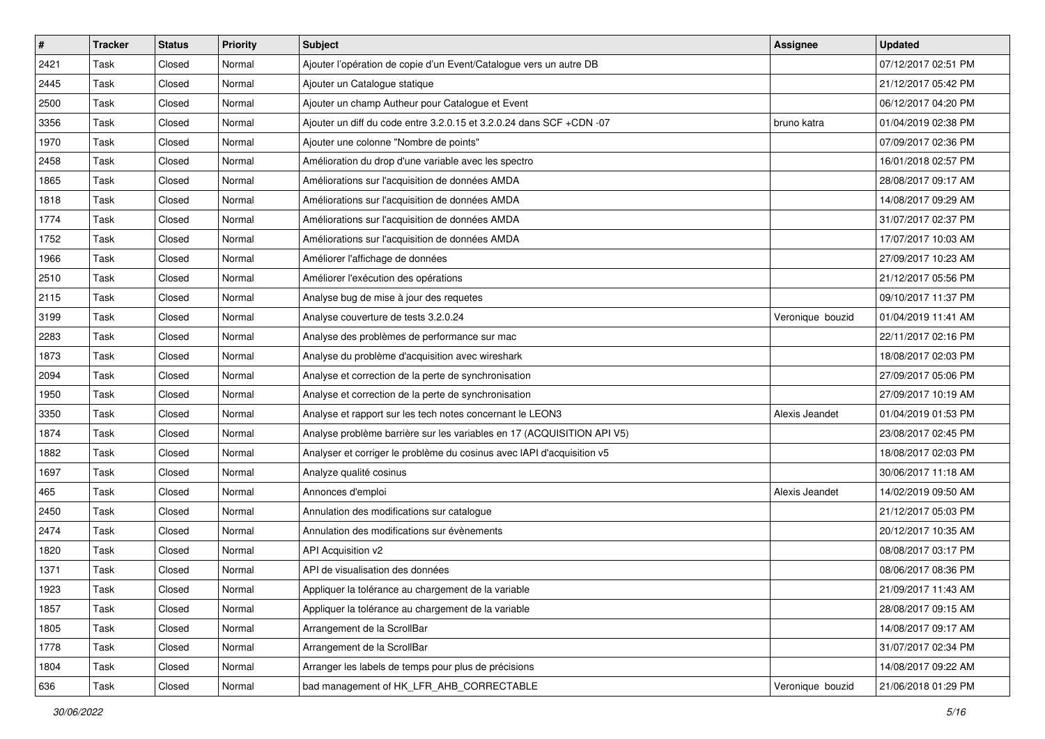| $\sharp$ | <b>Tracker</b> | <b>Status</b> | <b>Priority</b> | <b>Subject</b>                                                         | Assignee         | <b>Updated</b>      |
|----------|----------------|---------------|-----------------|------------------------------------------------------------------------|------------------|---------------------|
| 2421     | Task           | Closed        | Normal          | Ajouter l'opération de copie d'un Event/Catalogue vers un autre DB     |                  | 07/12/2017 02:51 PM |
| 2445     | Task           | Closed        | Normal          | Ajouter un Catalogue statique                                          |                  | 21/12/2017 05:42 PM |
| 2500     | Task           | Closed        | Normal          | Ajouter un champ Autheur pour Catalogue et Event                       |                  | 06/12/2017 04:20 PM |
| 3356     | Task           | Closed        | Normal          | Ajouter un diff du code entre 3.2.0.15 et 3.2.0.24 dans SCF +CDN -07   | bruno katra      | 01/04/2019 02:38 PM |
| 1970     | Task           | Closed        | Normal          | Ajouter une colonne "Nombre de points"                                 |                  | 07/09/2017 02:36 PM |
| 2458     | Task           | Closed        | Normal          | Amélioration du drop d'une variable avec les spectro                   |                  | 16/01/2018 02:57 PM |
| 1865     | Task           | Closed        | Normal          | Améliorations sur l'acquisition de données AMDA                        |                  | 28/08/2017 09:17 AM |
| 1818     | Task           | Closed        | Normal          | Améliorations sur l'acquisition de données AMDA                        |                  | 14/08/2017 09:29 AM |
| 1774     | Task           | Closed        | Normal          | Améliorations sur l'acquisition de données AMDA                        |                  | 31/07/2017 02:37 PM |
| 1752     | Task           | Closed        | Normal          | Améliorations sur l'acquisition de données AMDA                        |                  | 17/07/2017 10:03 AM |
| 1966     | Task           | Closed        | Normal          | Améliorer l'affichage de données                                       |                  | 27/09/2017 10:23 AM |
| 2510     | Task           | Closed        | Normal          | Améliorer l'exécution des opérations                                   |                  | 21/12/2017 05:56 PM |
| 2115     | Task           | Closed        | Normal          | Analyse bug de mise à jour des requetes                                |                  | 09/10/2017 11:37 PM |
| 3199     | Task           | Closed        | Normal          | Analyse couverture de tests 3.2.0.24                                   | Veronique bouzid | 01/04/2019 11:41 AM |
| 2283     | Task           | Closed        | Normal          | Analyse des problèmes de performance sur mac                           |                  | 22/11/2017 02:16 PM |
| 1873     | Task           | Closed        | Normal          | Analyse du problème d'acquisition avec wireshark                       |                  | 18/08/2017 02:03 PM |
| 2094     | Task           | Closed        | Normal          | Analyse et correction de la perte de synchronisation                   |                  | 27/09/2017 05:06 PM |
| 1950     | Task           | Closed        | Normal          | Analyse et correction de la perte de synchronisation                   |                  | 27/09/2017 10:19 AM |
| 3350     | Task           | Closed        | Normal          | Analyse et rapport sur les tech notes concernant le LEON3              | Alexis Jeandet   | 01/04/2019 01:53 PM |
| 1874     | Task           | Closed        | Normal          | Analyse problème barrière sur les variables en 17 (ACQUISITION API V5) |                  | 23/08/2017 02:45 PM |
| 1882     | Task           | Closed        | Normal          | Analyser et corriger le problème du cosinus avec IAPI d'acquisition v5 |                  | 18/08/2017 02:03 PM |
| 1697     | Task           | Closed        | Normal          | Analyze qualité cosinus                                                |                  | 30/06/2017 11:18 AM |
| 465      | Task           | Closed        | Normal          | Annonces d'emploi                                                      | Alexis Jeandet   | 14/02/2019 09:50 AM |
| 2450     | Task           | Closed        | Normal          | Annulation des modifications sur catalogue                             |                  | 21/12/2017 05:03 PM |
| 2474     | Task           | Closed        | Normal          | Annulation des modifications sur évènements                            |                  | 20/12/2017 10:35 AM |
| 1820     | Task           | Closed        | Normal          | API Acquisition v2                                                     |                  | 08/08/2017 03:17 PM |
| 1371     | Task           | Closed        | Normal          | API de visualisation des données                                       |                  | 08/06/2017 08:36 PM |
| 1923     | Task           | Closed        | Normal          | Appliquer la tolérance au chargement de la variable                    |                  | 21/09/2017 11:43 AM |
| 1857     | Task           | Closed        | Normal          | Appliquer la tolérance au chargement de la variable                    |                  | 28/08/2017 09:15 AM |
| 1805     | Task           | Closed        | Normal          | Arrangement de la ScrollBar                                            |                  | 14/08/2017 09:17 AM |
| 1778     | Task           | Closed        | Normal          | Arrangement de la ScrollBar                                            |                  | 31/07/2017 02:34 PM |
| 1804     | Task           | Closed        | Normal          | Arranger les labels de temps pour plus de précisions                   |                  | 14/08/2017 09:22 AM |
| 636      | Task           | Closed        | Normal          | bad management of HK_LFR_AHB_CORRECTABLE                               | Veronique bouzid | 21/06/2018 01:29 PM |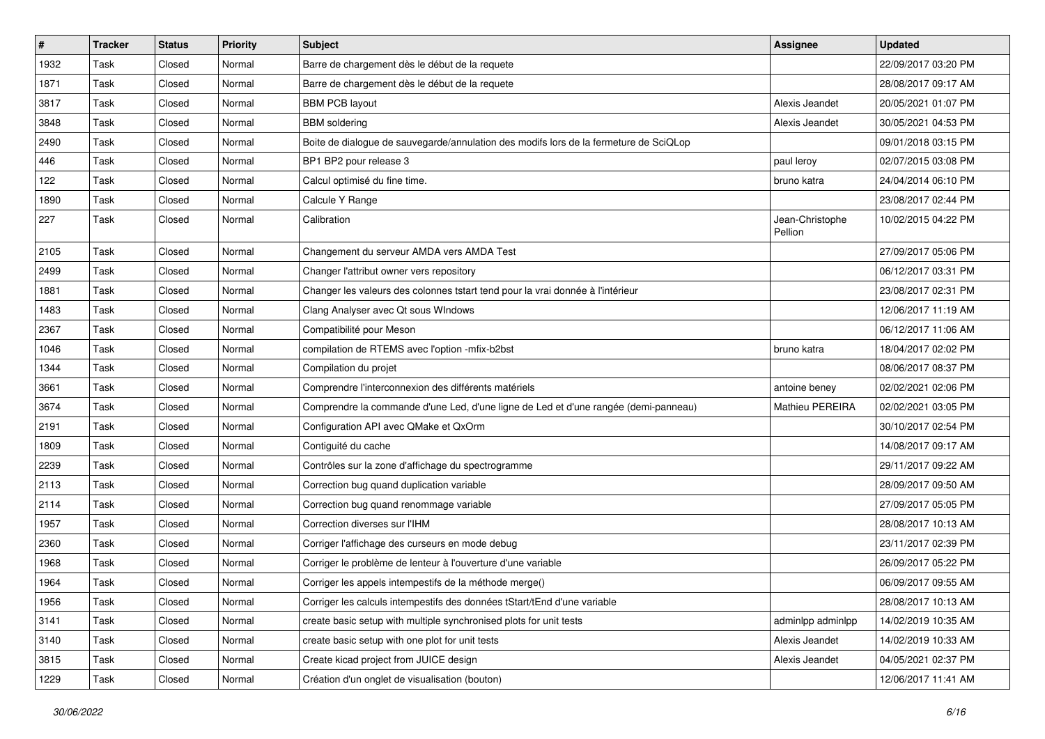| $\sharp$ | <b>Tracker</b> | <b>Status</b> | <b>Priority</b> | Subject                                                                               | <b>Assignee</b>            | <b>Updated</b>      |
|----------|----------------|---------------|-----------------|---------------------------------------------------------------------------------------|----------------------------|---------------------|
| 1932     | Task           | Closed        | Normal          | Barre de chargement dès le début de la requete                                        |                            | 22/09/2017 03:20 PM |
| 1871     | Task           | Closed        | Normal          | Barre de chargement dès le début de la requete                                        |                            | 28/08/2017 09:17 AM |
| 3817     | Task           | Closed        | Normal          | <b>BBM PCB layout</b>                                                                 | Alexis Jeandet             | 20/05/2021 01:07 PM |
| 3848     | Task           | Closed        | Normal          | <b>BBM</b> soldering                                                                  | Alexis Jeandet             | 30/05/2021 04:53 PM |
| 2490     | Task           | Closed        | Normal          | Boite de dialogue de sauvegarde/annulation des modifs lors de la fermeture de SciQLop |                            | 09/01/2018 03:15 PM |
| 446      | Task           | Closed        | Normal          | BP1 BP2 pour release 3                                                                | paul leroy                 | 02/07/2015 03:08 PM |
| 122      | Task           | Closed        | Normal          | Calcul optimisé du fine time.                                                         | bruno katra                | 24/04/2014 06:10 PM |
| 1890     | Task           | Closed        | Normal          | Calcule Y Range                                                                       |                            | 23/08/2017 02:44 PM |
| 227      | Task           | Closed        | Normal          | Calibration                                                                           | Jean-Christophe<br>Pellion | 10/02/2015 04:22 PM |
| 2105     | Task           | Closed        | Normal          | Changement du serveur AMDA vers AMDA Test                                             |                            | 27/09/2017 05:06 PM |
| 2499     | Task           | Closed        | Normal          | Changer l'attribut owner vers repository                                              |                            | 06/12/2017 03:31 PM |
| 1881     | Task           | Closed        | Normal          | Changer les valeurs des colonnes tstart tend pour la vrai donnée à l'intérieur        |                            | 23/08/2017 02:31 PM |
| 1483     | Task           | Closed        | Normal          | Clang Analyser avec Qt sous WIndows                                                   |                            | 12/06/2017 11:19 AM |
| 2367     | Task           | Closed        | Normal          | Compatibilité pour Meson                                                              |                            | 06/12/2017 11:06 AM |
| 1046     | Task           | Closed        | Normal          | compilation de RTEMS avec l'option -mfix-b2bst                                        | bruno katra                | 18/04/2017 02:02 PM |
| 1344     | Task           | Closed        | Normal          | Compilation du projet                                                                 |                            | 08/06/2017 08:37 PM |
| 3661     | Task           | Closed        | Normal          | Comprendre l'interconnexion des différents matériels                                  | antoine beney              | 02/02/2021 02:06 PM |
| 3674     | Task           | Closed        | Normal          | Comprendre la commande d'une Led, d'une ligne de Led et d'une rangée (demi-panneau)   | Mathieu PEREIRA            | 02/02/2021 03:05 PM |
| 2191     | Task           | Closed        | Normal          | Configuration API avec QMake et QxOrm                                                 |                            | 30/10/2017 02:54 PM |
| 1809     | Task           | Closed        | Normal          | Contiguité du cache                                                                   |                            | 14/08/2017 09:17 AM |
| 2239     | Task           | Closed        | Normal          | Contrôles sur la zone d'affichage du spectrogramme                                    |                            | 29/11/2017 09:22 AM |
| 2113     | Task           | Closed        | Normal          | Correction bug quand duplication variable                                             |                            | 28/09/2017 09:50 AM |
| 2114     | Task           | Closed        | Normal          | Correction bug quand renommage variable                                               |                            | 27/09/2017 05:05 PM |
| 1957     | Task           | Closed        | Normal          | Correction diverses sur l'IHM                                                         |                            | 28/08/2017 10:13 AM |
| 2360     | Task           | Closed        | Normal          | Corriger l'affichage des curseurs en mode debug                                       |                            | 23/11/2017 02:39 PM |
| 1968     | Task           | Closed        | Normal          | Corriger le problème de lenteur à l'ouverture d'une variable                          |                            | 26/09/2017 05:22 PM |
| 1964     | Task           | Closed        | Normal          | Corriger les appels intempestifs de la méthode merge()                                |                            | 06/09/2017 09:55 AM |
| 1956     | Task           | Closed        | Normal          | Corriger les calculs intempestifs des données tStart/tEnd d'une variable              |                            | 28/08/2017 10:13 AM |
| 3141     | Task           | Closed        | Normal          | create basic setup with multiple synchronised plots for unit tests                    | adminlpp adminlpp          | 14/02/2019 10:35 AM |
| 3140     | Task           | Closed        | Normal          | create basic setup with one plot for unit tests                                       | Alexis Jeandet             | 14/02/2019 10:33 AM |
| 3815     | Task           | Closed        | Normal          | Create kicad project from JUICE design                                                | Alexis Jeandet             | 04/05/2021 02:37 PM |
| 1229     | Task           | Closed        | Normal          | Création d'un onglet de visualisation (bouton)                                        |                            | 12/06/2017 11:41 AM |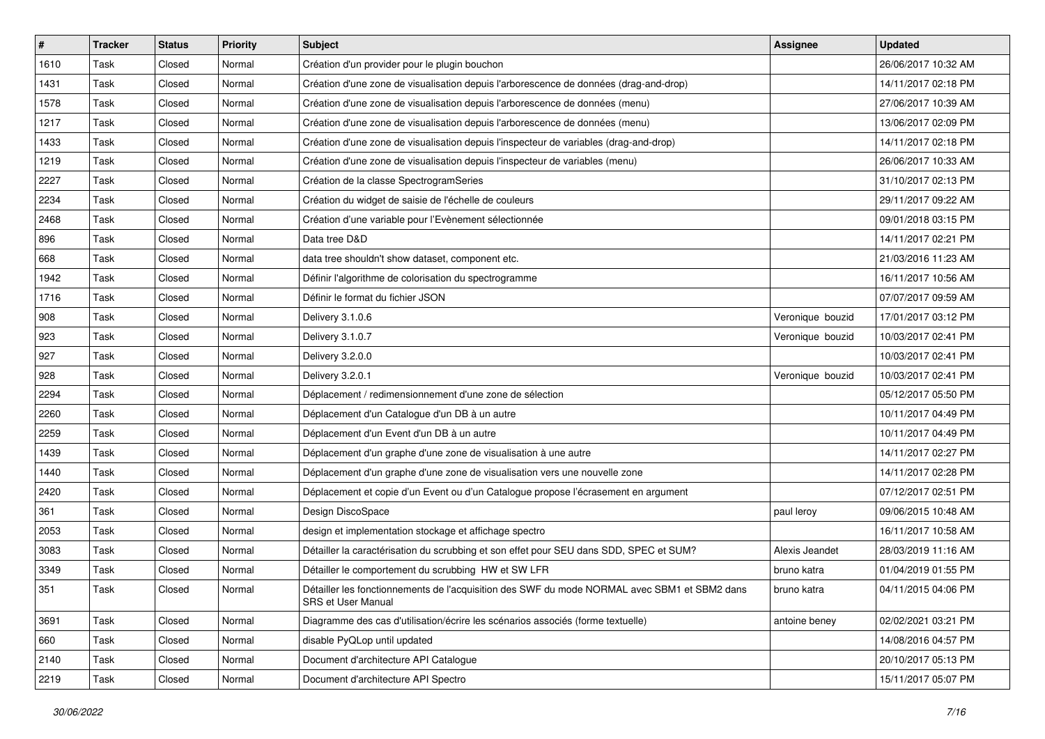| $\vert$ # | <b>Tracker</b> | <b>Status</b> | <b>Priority</b> | <b>Subject</b>                                                                                                            | Assignee         | <b>Updated</b>      |
|-----------|----------------|---------------|-----------------|---------------------------------------------------------------------------------------------------------------------------|------------------|---------------------|
| 1610      | Task           | Closed        | Normal          | Création d'un provider pour le plugin bouchon                                                                             |                  | 26/06/2017 10:32 AM |
| 1431      | Task           | Closed        | Normal          | Création d'une zone de visualisation depuis l'arborescence de données (drag-and-drop)                                     |                  | 14/11/2017 02:18 PM |
| 1578      | Task           | Closed        | Normal          | Création d'une zone de visualisation depuis l'arborescence de données (menu)                                              |                  | 27/06/2017 10:39 AM |
| 1217      | Task           | Closed        | Normal          | Création d'une zone de visualisation depuis l'arborescence de données (menu)                                              |                  | 13/06/2017 02:09 PM |
| 1433      | Task           | Closed        | Normal          | Création d'une zone de visualisation depuis l'inspecteur de variables (drag-and-drop)                                     |                  | 14/11/2017 02:18 PM |
| 1219      | Task           | Closed        | Normal          | Création d'une zone de visualisation depuis l'inspecteur de variables (menu)                                              |                  | 26/06/2017 10:33 AM |
| 2227      | Task           | Closed        | Normal          | Création de la classe SpectrogramSeries                                                                                   |                  | 31/10/2017 02:13 PM |
| 2234      | Task           | Closed        | Normal          | Création du widget de saisie de l'échelle de couleurs                                                                     |                  | 29/11/2017 09:22 AM |
| 2468      | Task           | Closed        | Normal          | Création d'une variable pour l'Evènement sélectionnée                                                                     |                  | 09/01/2018 03:15 PM |
| 896       | Task           | Closed        | Normal          | Data tree D&D                                                                                                             |                  | 14/11/2017 02:21 PM |
| 668       | Task           | Closed        | Normal          | data tree shouldn't show dataset, component etc.                                                                          |                  | 21/03/2016 11:23 AM |
| 1942      | Task           | Closed        | Normal          | Définir l'algorithme de colorisation du spectrogramme                                                                     |                  | 16/11/2017 10:56 AM |
| 1716      | Task           | Closed        | Normal          | Définir le format du fichier JSON                                                                                         |                  | 07/07/2017 09:59 AM |
| 908       | Task           | Closed        | Normal          | Delivery 3.1.0.6                                                                                                          | Veronique bouzid | 17/01/2017 03:12 PM |
| 923       | Task           | Closed        | Normal          | Delivery 3.1.0.7                                                                                                          | Veronique bouzid | 10/03/2017 02:41 PM |
| 927       | Task           | Closed        | Normal          | Delivery 3.2.0.0                                                                                                          |                  | 10/03/2017 02:41 PM |
| 928       | Task           | Closed        | Normal          | Delivery 3.2.0.1                                                                                                          | Veronique bouzid | 10/03/2017 02:41 PM |
| 2294      | Task           | Closed        | Normal          | Déplacement / redimensionnement d'une zone de sélection                                                                   |                  | 05/12/2017 05:50 PM |
| 2260      | Task           | Closed        | Normal          | Déplacement d'un Catalogue d'un DB à un autre                                                                             |                  | 10/11/2017 04:49 PM |
| 2259      | Task           | Closed        | Normal          | Déplacement d'un Event d'un DB à un autre                                                                                 |                  | 10/11/2017 04:49 PM |
| 1439      | Task           | Closed        | Normal          | Déplacement d'un graphe d'une zone de visualisation à une autre                                                           |                  | 14/11/2017 02:27 PM |
| 1440      | Task           | Closed        | Normal          | Déplacement d'un graphe d'une zone de visualisation vers une nouvelle zone                                                |                  | 14/11/2017 02:28 PM |
| 2420      | Task           | Closed        | Normal          | Déplacement et copie d'un Event ou d'un Catalogue propose l'écrasement en argument                                        |                  | 07/12/2017 02:51 PM |
| 361       | Task           | Closed        | Normal          | Design DiscoSpace                                                                                                         | paul leroy       | 09/06/2015 10:48 AM |
| 2053      | Task           | Closed        | Normal          | design et implementation stockage et affichage spectro                                                                    |                  | 16/11/2017 10:58 AM |
| 3083      | Task           | Closed        | Normal          | Détailler la caractérisation du scrubbing et son effet pour SEU dans SDD, SPEC et SUM?                                    | Alexis Jeandet   | 28/03/2019 11:16 AM |
| 3349      | Task           | Closed        | Normal          | Détailler le comportement du scrubbing HW et SW LFR                                                                       | bruno katra      | 01/04/2019 01:55 PM |
| 351       | Task           | Closed        | Normal          | Détailler les fonctionnements de l'acquisition des SWF du mode NORMAL avec SBM1 et SBM2 dans<br><b>SRS et User Manual</b> | bruno katra      | 04/11/2015 04:06 PM |
| 3691      | Task           | Closed        | Normal          | Diagramme des cas d'utilisation/écrire les scénarios associés (forme textuelle)                                           | antoine beney    | 02/02/2021 03:21 PM |
| 660       | Task           | Closed        | Normal          | disable PyQLop until updated                                                                                              |                  | 14/08/2016 04:57 PM |
| 2140      | Task           | Closed        | Normal          | Document d'architecture API Catalogue                                                                                     |                  | 20/10/2017 05:13 PM |
| 2219      | Task           | Closed        | Normal          | Document d'architecture API Spectro                                                                                       |                  | 15/11/2017 05:07 PM |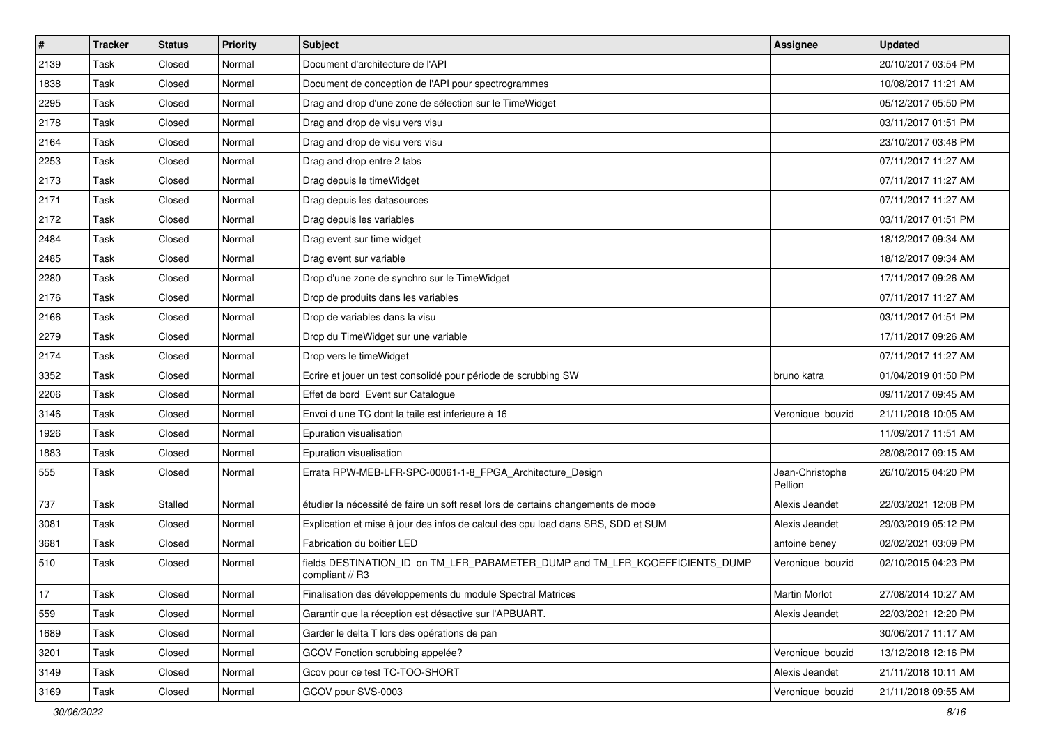| $\vert$ # | <b>Tracker</b> | <b>Status</b> | <b>Priority</b> | <b>Subject</b>                                                                                  | <b>Assignee</b>            | <b>Updated</b>      |
|-----------|----------------|---------------|-----------------|-------------------------------------------------------------------------------------------------|----------------------------|---------------------|
| 2139      | Task           | Closed        | Normal          | Document d'architecture de l'API                                                                |                            | 20/10/2017 03:54 PM |
| 1838      | Task           | Closed        | Normal          | Document de conception de l'API pour spectrogrammes                                             |                            | 10/08/2017 11:21 AM |
| 2295      | Task           | Closed        | Normal          | Drag and drop d'une zone de sélection sur le TimeWidget                                         |                            | 05/12/2017 05:50 PM |
| 2178      | Task           | Closed        | Normal          | Drag and drop de visu vers visu                                                                 |                            | 03/11/2017 01:51 PM |
| 2164      | Task           | Closed        | Normal          | Drag and drop de visu vers visu                                                                 |                            | 23/10/2017 03:48 PM |
| 2253      | Task           | Closed        | Normal          | Drag and drop entre 2 tabs                                                                      |                            | 07/11/2017 11:27 AM |
| 2173      | Task           | Closed        | Normal          | Drag depuis le timeWidget                                                                       |                            | 07/11/2017 11:27 AM |
| 2171      | Task           | Closed        | Normal          | Drag depuis les datasources                                                                     |                            | 07/11/2017 11:27 AM |
| 2172      | Task           | Closed        | Normal          | Drag depuis les variables                                                                       |                            | 03/11/2017 01:51 PM |
| 2484      | Task           | Closed        | Normal          | Drag event sur time widget                                                                      |                            | 18/12/2017 09:34 AM |
| 2485      | Task           | Closed        | Normal          | Drag event sur variable                                                                         |                            | 18/12/2017 09:34 AM |
| 2280      | Task           | Closed        | Normal          | Drop d'une zone de synchro sur le TimeWidget                                                    |                            | 17/11/2017 09:26 AM |
| 2176      | Task           | Closed        | Normal          | Drop de produits dans les variables                                                             |                            | 07/11/2017 11:27 AM |
| 2166      | Task           | Closed        | Normal          | Drop de variables dans la visu                                                                  |                            | 03/11/2017 01:51 PM |
| 2279      | Task           | Closed        | Normal          | Drop du TimeWidget sur une variable                                                             |                            | 17/11/2017 09:26 AM |
| 2174      | Task           | Closed        | Normal          | Drop vers le timeWidget                                                                         |                            | 07/11/2017 11:27 AM |
| 3352      | Task           | Closed        | Normal          | Ecrire et jouer un test consolidé pour période de scrubbing SW                                  | bruno katra                | 01/04/2019 01:50 PM |
| 2206      | Task           | Closed        | Normal          | Effet de bord Event sur Catalogue                                                               |                            | 09/11/2017 09:45 AM |
| 3146      | Task           | Closed        | Normal          | Envoi d une TC dont la taile est inferieure à 16                                                | Veronique bouzid           | 21/11/2018 10:05 AM |
| 1926      | Task           | Closed        | Normal          | Epuration visualisation                                                                         |                            | 11/09/2017 11:51 AM |
| 1883      | Task           | Closed        | Normal          | Epuration visualisation                                                                         |                            | 28/08/2017 09:15 AM |
| 555       | Task           | Closed        | Normal          | Errata RPW-MEB-LFR-SPC-00061-1-8_FPGA_Architecture_Design                                       | Jean-Christophe<br>Pellion | 26/10/2015 04:20 PM |
| 737       | Task           | Stalled       | Normal          | étudier la nécessité de faire un soft reset lors de certains changements de mode                | Alexis Jeandet             | 22/03/2021 12:08 PM |
| 3081      | Task           | Closed        | Normal          | Explication et mise à jour des infos de calcul des cpu load dans SRS, SDD et SUM                | Alexis Jeandet             | 29/03/2019 05:12 PM |
| 3681      | Task           | Closed        | Normal          | Fabrication du boitier LED                                                                      | antoine beney              | 02/02/2021 03:09 PM |
| 510       | Task           | Closed        | Normal          | fields DESTINATION ID on TM LFR PARAMETER DUMP and TM LFR KCOEFFICIENTS DUMP<br>compliant // R3 | Veronique bouzid           | 02/10/2015 04:23 PM |
| 17        | Task           | Closed        | Normal          | Finalisation des développements du module Spectral Matrices                                     | <b>Martin Morlot</b>       | 27/08/2014 10:27 AM |
| 559       | Task           | Closed        | Normal          | Garantir que la réception est désactive sur l'APBUART.                                          | Alexis Jeandet             | 22/03/2021 12:20 PM |
| 1689      | Task           | Closed        | Normal          | Garder le delta T lors des opérations de pan                                                    |                            | 30/06/2017 11:17 AM |
| 3201      | Task           | Closed        | Normal          | GCOV Fonction scrubbing appelée?                                                                | Veronique bouzid           | 13/12/2018 12:16 PM |
| 3149      | Task           | Closed        | Normal          | Gcov pour ce test TC-TOO-SHORT                                                                  | Alexis Jeandet             | 21/11/2018 10:11 AM |
| 3169      | Task           | Closed        | Normal          | GCOV pour SVS-0003                                                                              | Veronique bouzid           | 21/11/2018 09:55 AM |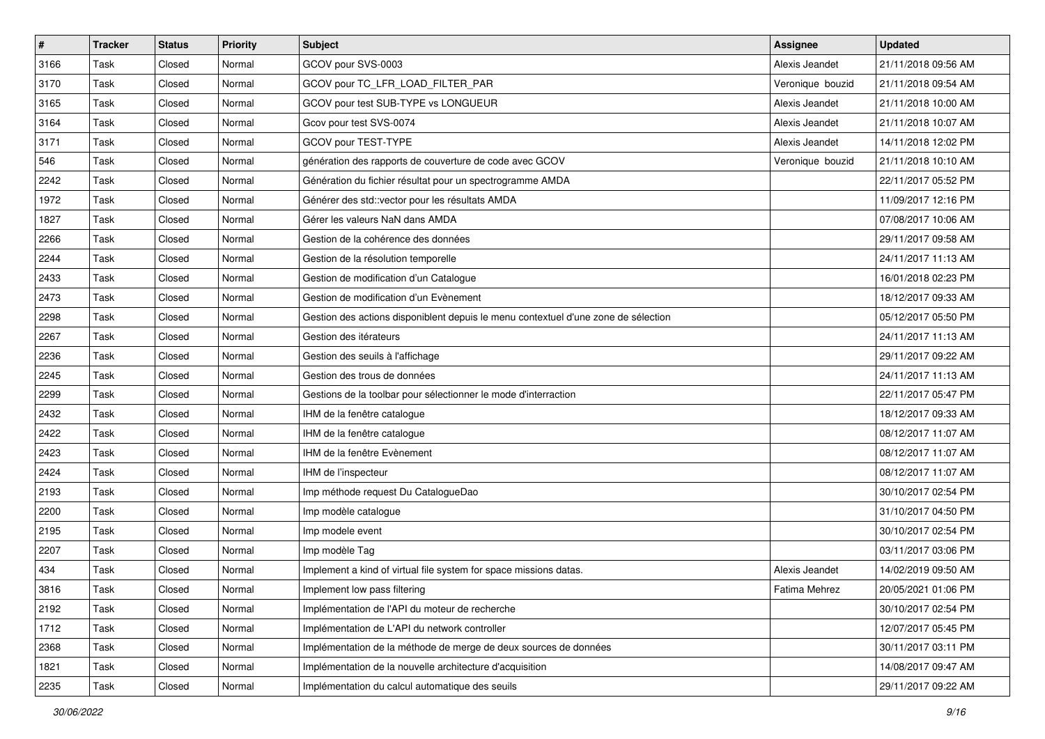| $\sharp$ | <b>Tracker</b> | <b>Status</b> | <b>Priority</b> | <b>Subject</b>                                                                     | <b>Assignee</b>  | <b>Updated</b>      |
|----------|----------------|---------------|-----------------|------------------------------------------------------------------------------------|------------------|---------------------|
| 3166     | Task           | Closed        | Normal          | GCOV pour SVS-0003                                                                 | Alexis Jeandet   | 21/11/2018 09:56 AM |
| 3170     | Task           | Closed        | Normal          | GCOV pour TC_LFR_LOAD_FILTER_PAR                                                   | Veronique bouzid | 21/11/2018 09:54 AM |
| 3165     | Task           | Closed        | Normal          | GCOV pour test SUB-TYPE vs LONGUEUR                                                | Alexis Jeandet   | 21/11/2018 10:00 AM |
| 3164     | Task           | Closed        | Normal          | Gcov pour test SVS-0074                                                            | Alexis Jeandet   | 21/11/2018 10:07 AM |
| 3171     | Task           | Closed        | Normal          | GCOV pour TEST-TYPE                                                                | Alexis Jeandet   | 14/11/2018 12:02 PM |
| 546      | Task           | Closed        | Normal          | génération des rapports de couverture de code avec GCOV                            | Veronique bouzid | 21/11/2018 10:10 AM |
| 2242     | Task           | Closed        | Normal          | Génération du fichier résultat pour un spectrogramme AMDA                          |                  | 22/11/2017 05:52 PM |
| 1972     | Task           | Closed        | Normal          | Générer des std:: vector pour les résultats AMDA                                   |                  | 11/09/2017 12:16 PM |
| 1827     | Task           | Closed        | Normal          | Gérer les valeurs NaN dans AMDA                                                    |                  | 07/08/2017 10:06 AM |
| 2266     | Task           | Closed        | Normal          | Gestion de la cohérence des données                                                |                  | 29/11/2017 09:58 AM |
| 2244     | Task           | Closed        | Normal          | Gestion de la résolution temporelle                                                |                  | 24/11/2017 11:13 AM |
| 2433     | Task           | Closed        | Normal          | Gestion de modification d'un Catalogue                                             |                  | 16/01/2018 02:23 PM |
| 2473     | Task           | Closed        | Normal          | Gestion de modification d'un Evènement                                             |                  | 18/12/2017 09:33 AM |
| 2298     | Task           | Closed        | Normal          | Gestion des actions disponiblent depuis le menu contextuel d'une zone de sélection |                  | 05/12/2017 05:50 PM |
| 2267     | Task           | Closed        | Normal          | Gestion des itérateurs                                                             |                  | 24/11/2017 11:13 AM |
| 2236     | Task           | Closed        | Normal          | Gestion des seuils à l'affichage                                                   |                  | 29/11/2017 09:22 AM |
| 2245     | Task           | Closed        | Normal          | Gestion des trous de données                                                       |                  | 24/11/2017 11:13 AM |
| 2299     | Task           | Closed        | Normal          | Gestions de la toolbar pour sélectionner le mode d'interraction                    |                  | 22/11/2017 05:47 PM |
| 2432     | Task           | Closed        | Normal          | IHM de la fenêtre catalogue                                                        |                  | 18/12/2017 09:33 AM |
| 2422     | Task           | Closed        | Normal          | IHM de la fenêtre catalogue                                                        |                  | 08/12/2017 11:07 AM |
| 2423     | Task           | Closed        | Normal          | IHM de la fenêtre Evènement                                                        |                  | 08/12/2017 11:07 AM |
| 2424     | Task           | Closed        | Normal          | IHM de l'inspecteur                                                                |                  | 08/12/2017 11:07 AM |
| 2193     | Task           | Closed        | Normal          | Imp méthode request Du CatalogueDao                                                |                  | 30/10/2017 02:54 PM |
| 2200     | Task           | Closed        | Normal          | Imp modèle catalogue                                                               |                  | 31/10/2017 04:50 PM |
| 2195     | Task           | Closed        | Normal          | Imp modele event                                                                   |                  | 30/10/2017 02:54 PM |
| 2207     | Task           | Closed        | Normal          | Imp modèle Tag                                                                     |                  | 03/11/2017 03:06 PM |
| 434      | Task           | Closed        | Normal          | Implement a kind of virtual file system for space missions datas.                  | Alexis Jeandet   | 14/02/2019 09:50 AM |
| 3816     | Task           | Closed        | Normal          | Implement low pass filtering                                                       | Fatima Mehrez    | 20/05/2021 01:06 PM |
| 2192     | Task           | Closed        | Normal          | Implémentation de l'API du moteur de recherche                                     |                  | 30/10/2017 02:54 PM |
| 1712     | Task           | Closed        | Normal          | Implémentation de L'API du network controller                                      |                  | 12/07/2017 05:45 PM |
| 2368     | Task           | Closed        | Normal          | Implémentation de la méthode de merge de deux sources de données                   |                  | 30/11/2017 03:11 PM |
| 1821     | Task           | Closed        | Normal          | Implémentation de la nouvelle architecture d'acquisition                           |                  | 14/08/2017 09:47 AM |
| 2235     | Task           | Closed        | Normal          | Implémentation du calcul automatique des seuils                                    |                  | 29/11/2017 09:22 AM |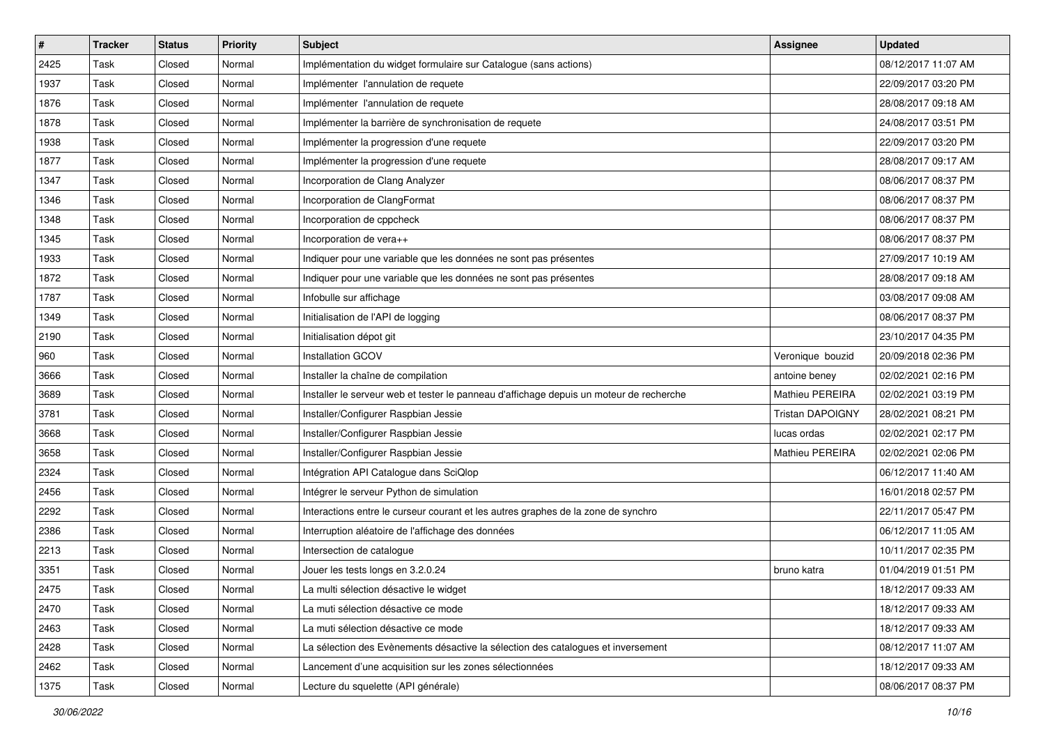| #    | <b>Tracker</b> | <b>Status</b> | <b>Priority</b> | <b>Subject</b>                                                                          | <b>Assignee</b>         | <b>Updated</b>      |
|------|----------------|---------------|-----------------|-----------------------------------------------------------------------------------------|-------------------------|---------------------|
| 2425 | Task           | Closed        | Normal          | Implémentation du widget formulaire sur Catalogue (sans actions)                        |                         | 08/12/2017 11:07 AM |
| 1937 | Task           | Closed        | Normal          | Implémenter l'annulation de requete                                                     |                         | 22/09/2017 03:20 PM |
| 1876 | Task           | Closed        | Normal          | Implémenter l'annulation de requete                                                     |                         | 28/08/2017 09:18 AM |
| 1878 | Task           | Closed        | Normal          | Implémenter la barrière de synchronisation de requete                                   |                         | 24/08/2017 03:51 PM |
| 1938 | Task           | Closed        | Normal          | Implémenter la progression d'une requete                                                |                         | 22/09/2017 03:20 PM |
| 1877 | Task           | Closed        | Normal          | Implémenter la progression d'une requete                                                |                         | 28/08/2017 09:17 AM |
| 1347 | Task           | Closed        | Normal          | Incorporation de Clang Analyzer                                                         |                         | 08/06/2017 08:37 PM |
| 1346 | Task           | Closed        | Normal          | Incorporation de ClangFormat                                                            |                         | 08/06/2017 08:37 PM |
| 1348 | Task           | Closed        | Normal          | Incorporation de cppcheck                                                               |                         | 08/06/2017 08:37 PM |
| 1345 | Task           | Closed        | Normal          | Incorporation de vera++                                                                 |                         | 08/06/2017 08:37 PM |
| 1933 | Task           | Closed        | Normal          | Indiquer pour une variable que les données ne sont pas présentes                        |                         | 27/09/2017 10:19 AM |
| 1872 | Task           | Closed        | Normal          | Indiquer pour une variable que les données ne sont pas présentes                        |                         | 28/08/2017 09:18 AM |
| 1787 | Task           | Closed        | Normal          | Infobulle sur affichage                                                                 |                         | 03/08/2017 09:08 AM |
| 1349 | Task           | Closed        | Normal          | Initialisation de l'API de logging                                                      |                         | 08/06/2017 08:37 PM |
| 2190 | Task           | Closed        | Normal          | Initialisation dépot git                                                                |                         | 23/10/2017 04:35 PM |
| 960  | Task           | Closed        | Normal          | Installation GCOV                                                                       | Veronique bouzid        | 20/09/2018 02:36 PM |
| 3666 | Task           | Closed        | Normal          | Installer la chaîne de compilation                                                      | antoine beney           | 02/02/2021 02:16 PM |
| 3689 | Task           | Closed        | Normal          | Installer le serveur web et tester le panneau d'affichage depuis un moteur de recherche | Mathieu PEREIRA         | 02/02/2021 03:19 PM |
| 3781 | Task           | Closed        | Normal          | Installer/Configurer Raspbian Jessie                                                    | <b>Tristan DAPOIGNY</b> | 28/02/2021 08:21 PM |
| 3668 | Task           | Closed        | Normal          | Installer/Configurer Raspbian Jessie                                                    | lucas ordas             | 02/02/2021 02:17 PM |
| 3658 | Task           | Closed        | Normal          | Installer/Configurer Raspbian Jessie                                                    | Mathieu PEREIRA         | 02/02/2021 02:06 PM |
| 2324 | Task           | Closed        | Normal          | Intégration API Catalogue dans SciQlop                                                  |                         | 06/12/2017 11:40 AM |
| 2456 | Task           | Closed        | Normal          | Intégrer le serveur Python de simulation                                                |                         | 16/01/2018 02:57 PM |
| 2292 | Task           | Closed        | Normal          | Interactions entre le curseur courant et les autres graphes de la zone de synchro       |                         | 22/11/2017 05:47 PM |
| 2386 | Task           | Closed        | Normal          | Interruption aléatoire de l'affichage des données                                       |                         | 06/12/2017 11:05 AM |
| 2213 | Task           | Closed        | Normal          | Intersection de catalogue                                                               |                         | 10/11/2017 02:35 PM |
| 3351 | Task           | Closed        | Normal          | Jouer les tests longs en 3.2.0.24                                                       | bruno katra             | 01/04/2019 01:51 PM |
| 2475 | Task           | Closed        | Normal          | La multi sélection désactive le widget                                                  |                         | 18/12/2017 09:33 AM |
| 2470 | Task           | Closed        | Normal          | La muti sélection désactive ce mode                                                     |                         | 18/12/2017 09:33 AM |
| 2463 | Task           | Closed        | Normal          | La muti sélection désactive ce mode                                                     |                         | 18/12/2017 09:33 AM |
| 2428 | Task           | Closed        | Normal          | La sélection des Evènements désactive la sélection des catalogues et inversement        |                         | 08/12/2017 11:07 AM |
| 2462 | Task           | Closed        | Normal          | Lancement d'une acquisition sur les zones sélectionnées                                 |                         | 18/12/2017 09:33 AM |
| 1375 | Task           | Closed        | Normal          | Lecture du squelette (API générale)                                                     |                         | 08/06/2017 08:37 PM |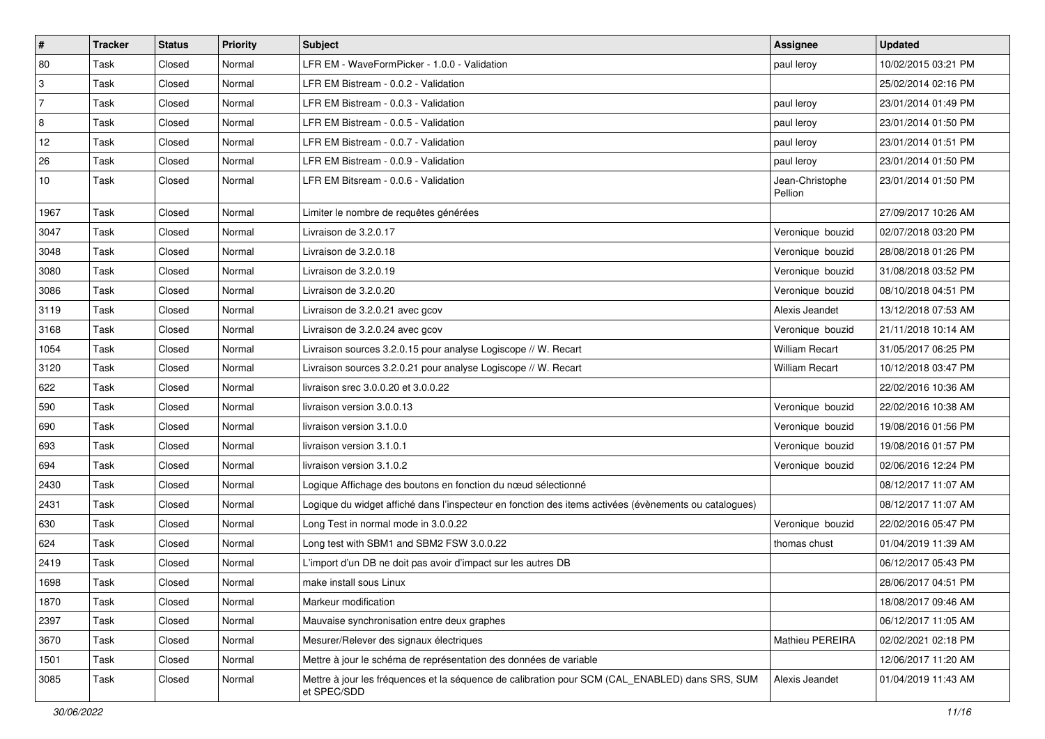| $\vert$ #      | <b>Tracker</b> | <b>Status</b> | <b>Priority</b> | <b>Subject</b>                                                                                                 | <b>Assignee</b>            | <b>Updated</b>      |
|----------------|----------------|---------------|-----------------|----------------------------------------------------------------------------------------------------------------|----------------------------|---------------------|
| 80             | Task           | Closed        | Normal          | LFR EM - WaveFormPicker - 1.0.0 - Validation                                                                   | paul leroy                 | 10/02/2015 03:21 PM |
| 3              | Task           | Closed        | Normal          | LFR EM Bistream - 0.0.2 - Validation                                                                           |                            | 25/02/2014 02:16 PM |
| 7              | Task           | Closed        | Normal          | LFR EM Bistream - 0.0.3 - Validation                                                                           | paul leroy                 | 23/01/2014 01:49 PM |
| $\overline{8}$ | Task           | Closed        | Normal          | LFR EM Bistream - 0.0.5 - Validation                                                                           | paul leroy                 | 23/01/2014 01:50 PM |
| 12             | Task           | Closed        | Normal          | LFR EM Bistream - 0.0.7 - Validation                                                                           | paul leroy                 | 23/01/2014 01:51 PM |
| 26             | Task           | Closed        | Normal          | LFR EM Bistream - 0.0.9 - Validation                                                                           | paul leroy                 | 23/01/2014 01:50 PM |
| 10             | Task           | Closed        | Normal          | LFR EM Bitsream - 0.0.6 - Validation                                                                           | Jean-Christophe<br>Pellion | 23/01/2014 01:50 PM |
| 1967           | Task           | Closed        | Normal          | Limiter le nombre de requêtes générées                                                                         |                            | 27/09/2017 10:26 AM |
| 3047           | Task           | Closed        | Normal          | Livraison de 3.2.0.17                                                                                          | Veronique bouzid           | 02/07/2018 03:20 PM |
| 3048           | Task           | Closed        | Normal          | Livraison de 3.2.0.18                                                                                          | Veronique bouzid           | 28/08/2018 01:26 PM |
| 3080           | Task           | Closed        | Normal          | Livraison de 3.2.0.19                                                                                          | Veronique bouzid           | 31/08/2018 03:52 PM |
| 3086           | Task           | Closed        | Normal          | Livraison de 3.2.0.20                                                                                          | Veronique bouzid           | 08/10/2018 04:51 PM |
| 3119           | Task           | Closed        | Normal          | Livraison de 3.2.0.21 avec gcov                                                                                | Alexis Jeandet             | 13/12/2018 07:53 AM |
| 3168           | Task           | Closed        | Normal          | Livraison de 3.2.0.24 avec gcov                                                                                | Veronique bouzid           | 21/11/2018 10:14 AM |
| 1054           | Task           | Closed        | Normal          | Livraison sources 3.2.0.15 pour analyse Logiscope // W. Recart                                                 | <b>William Recart</b>      | 31/05/2017 06:25 PM |
| 3120           | Task           | Closed        | Normal          | Livraison sources 3.2.0.21 pour analyse Logiscope // W. Recart                                                 | <b>William Recart</b>      | 10/12/2018 03:47 PM |
| 622            | Task           | Closed        | Normal          | livraison srec 3.0.0.20 et 3.0.0.22                                                                            |                            | 22/02/2016 10:36 AM |
| 590            | Task           | Closed        | Normal          | livraison version 3.0.0.13                                                                                     | Veronique bouzid           | 22/02/2016 10:38 AM |
| 690            | Task           | Closed        | Normal          | livraison version 3.1.0.0                                                                                      | Veronique bouzid           | 19/08/2016 01:56 PM |
| 693            | Task           | Closed        | Normal          | livraison version 3.1.0.1                                                                                      | Veronique bouzid           | 19/08/2016 01:57 PM |
| 694            | Task           | Closed        | Normal          | livraison version 3.1.0.2                                                                                      | Veronique bouzid           | 02/06/2016 12:24 PM |
| 2430           | Task           | Closed        | Normal          | Logique Affichage des boutons en fonction du nœud sélectionné                                                  |                            | 08/12/2017 11:07 AM |
| 2431           | Task           | Closed        | Normal          | Logique du widget affiché dans l'inspecteur en fonction des items activées (évènements ou catalogues)          |                            | 08/12/2017 11:07 AM |
| 630            | Task           | Closed        | Normal          | Long Test in normal mode in 3.0.0.22                                                                           | Veronique bouzid           | 22/02/2016 05:47 PM |
| 624            | Task           | Closed        | Normal          | Long test with SBM1 and SBM2 FSW 3.0.0.22                                                                      | thomas chust               | 01/04/2019 11:39 AM |
| 2419           | Task           | Closed        | Normal          | L'import d'un DB ne doit pas avoir d'impact sur les autres DB                                                  |                            | 06/12/2017 05:43 PM |
| 1698           | Task           | Closed        | Normal          | make install sous Linux                                                                                        |                            | 28/06/2017 04:51 PM |
| 1870           | Task           | Closed        | Normal          | Markeur modification                                                                                           |                            | 18/08/2017 09:46 AM |
| 2397           | Task           | Closed        | Normal          | Mauvaise synchronisation entre deux graphes                                                                    |                            | 06/12/2017 11:05 AM |
| 3670           | Task           | Closed        | Normal          | Mesurer/Relever des signaux électriques                                                                        | Mathieu PEREIRA            | 02/02/2021 02:18 PM |
| 1501           | Task           | Closed        | Normal          | Mettre à jour le schéma de représentation des données de variable                                              |                            | 12/06/2017 11:20 AM |
| 3085           | Task           | Closed        | Normal          | Mettre à jour les fréquences et la séquence de calibration pour SCM (CAL_ENABLED) dans SRS, SUM<br>et SPEC/SDD | Alexis Jeandet             | 01/04/2019 11:43 AM |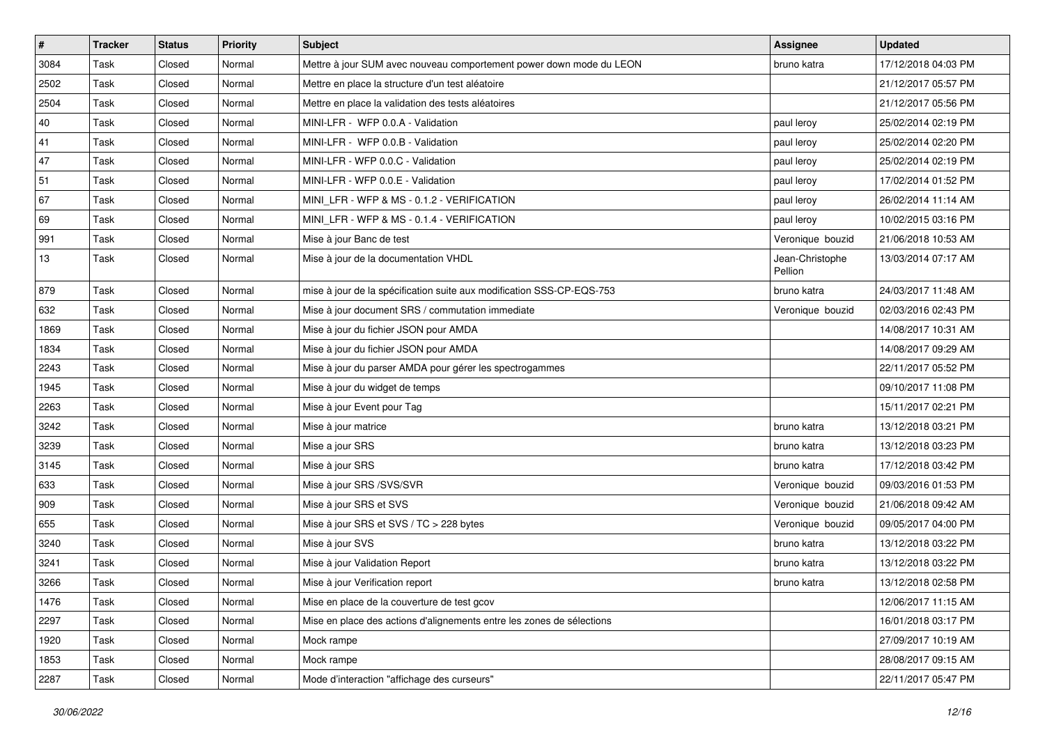| $\sharp$ | <b>Tracker</b> | <b>Status</b> | <b>Priority</b> | Subject                                                               | <b>Assignee</b>            | <b>Updated</b>      |
|----------|----------------|---------------|-----------------|-----------------------------------------------------------------------|----------------------------|---------------------|
| 3084     | Task           | Closed        | Normal          | Mettre à jour SUM avec nouveau comportement power down mode du LEON   | bruno katra                | 17/12/2018 04:03 PM |
| 2502     | Task           | Closed        | Normal          | Mettre en place la structure d'un test aléatoire                      |                            | 21/12/2017 05:57 PM |
| 2504     | Task           | Closed        | Normal          | Mettre en place la validation des tests aléatoires                    |                            | 21/12/2017 05:56 PM |
| 40       | Task           | Closed        | Normal          | MINI-LFR - WFP 0.0.A - Validation                                     | paul leroy                 | 25/02/2014 02:19 PM |
| 41       | Task           | Closed        | Normal          | MINI-LFR - WFP 0.0.B - Validation                                     | paul leroy                 | 25/02/2014 02:20 PM |
| 47       | Task           | Closed        | Normal          | MINI-LFR - WFP 0.0.C - Validation                                     | paul leroy                 | 25/02/2014 02:19 PM |
| 51       | Task           | Closed        | Normal          | MINI-LFR - WFP 0.0.E - Validation                                     | paul leroy                 | 17/02/2014 01:52 PM |
| 67       | Task           | Closed        | Normal          | MINI LFR - WFP & MS - 0.1.2 - VERIFICATION                            | paul leroy                 | 26/02/2014 11:14 AM |
| 69       | Task           | Closed        | Normal          | MINI LFR - WFP & MS - 0.1.4 - VERIFICATION                            | paul leroy                 | 10/02/2015 03:16 PM |
| 991      | Task           | Closed        | Normal          | Mise à jour Banc de test                                              | Veronique bouzid           | 21/06/2018 10:53 AM |
| 13       | Task           | Closed        | Normal          | Mise à jour de la documentation VHDL                                  | Jean-Christophe<br>Pellion | 13/03/2014 07:17 AM |
| 879      | Task           | Closed        | Normal          | mise à jour de la spécification suite aux modification SSS-CP-EQS-753 | bruno katra                | 24/03/2017 11:48 AM |
| 632      | Task           | Closed        | Normal          | Mise à jour document SRS / commutation immediate                      | Veronique bouzid           | 02/03/2016 02:43 PM |
| 1869     | Task           | Closed        | Normal          | Mise à jour du fichier JSON pour AMDA                                 |                            | 14/08/2017 10:31 AM |
| 1834     | Task           | Closed        | Normal          | Mise à jour du fichier JSON pour AMDA                                 |                            | 14/08/2017 09:29 AM |
| 2243     | Task           | Closed        | Normal          | Mise à jour du parser AMDA pour gérer les spectrogammes               |                            | 22/11/2017 05:52 PM |
| 1945     | Task           | Closed        | Normal          | Mise à jour du widget de temps                                        |                            | 09/10/2017 11:08 PM |
| 2263     | Task           | Closed        | Normal          | Mise à jour Event pour Tag                                            |                            | 15/11/2017 02:21 PM |
| 3242     | Task           | Closed        | Normal          | Mise à jour matrice                                                   | bruno katra                | 13/12/2018 03:21 PM |
| 3239     | Task           | Closed        | Normal          | Mise a jour SRS                                                       | bruno katra                | 13/12/2018 03:23 PM |
| 3145     | Task           | Closed        | Normal          | Mise à jour SRS                                                       | bruno katra                | 17/12/2018 03:42 PM |
| 633      | Task           | Closed        | Normal          | Mise à jour SRS /SVS/SVR                                              | Veronique bouzid           | 09/03/2016 01:53 PM |
| 909      | Task           | Closed        | Normal          | Mise à jour SRS et SVS                                                | Veronique bouzid           | 21/06/2018 09:42 AM |
| 655      | Task           | Closed        | Normal          | Mise à jour SRS et SVS / TC > 228 bytes                               | Veronique bouzid           | 09/05/2017 04:00 PM |
| 3240     | Task           | Closed        | Normal          | Mise à jour SVS                                                       | bruno katra                | 13/12/2018 03:22 PM |
| 3241     | Task           | Closed        | Normal          | Mise à jour Validation Report                                         | bruno katra                | 13/12/2018 03:22 PM |
| 3266     | Task           | Closed        | Normal          | Mise à jour Verification report                                       | bruno katra                | 13/12/2018 02:58 PM |
| 1476     | Task           | Closed        | Normal          | Mise en place de la couverture de test gcov                           |                            | 12/06/2017 11:15 AM |
| 2297     | Task           | Closed        | Normal          | Mise en place des actions d'alignements entre les zones de sélections |                            | 16/01/2018 03:17 PM |
| 1920     | Task           | Closed        | Normal          | Mock rampe                                                            |                            | 27/09/2017 10:19 AM |
| 1853     | Task           | Closed        | Normal          | Mock rampe                                                            |                            | 28/08/2017 09:15 AM |
| 2287     | Task           | Closed        | Normal          | Mode d'interaction "affichage des curseurs"                           |                            | 22/11/2017 05:47 PM |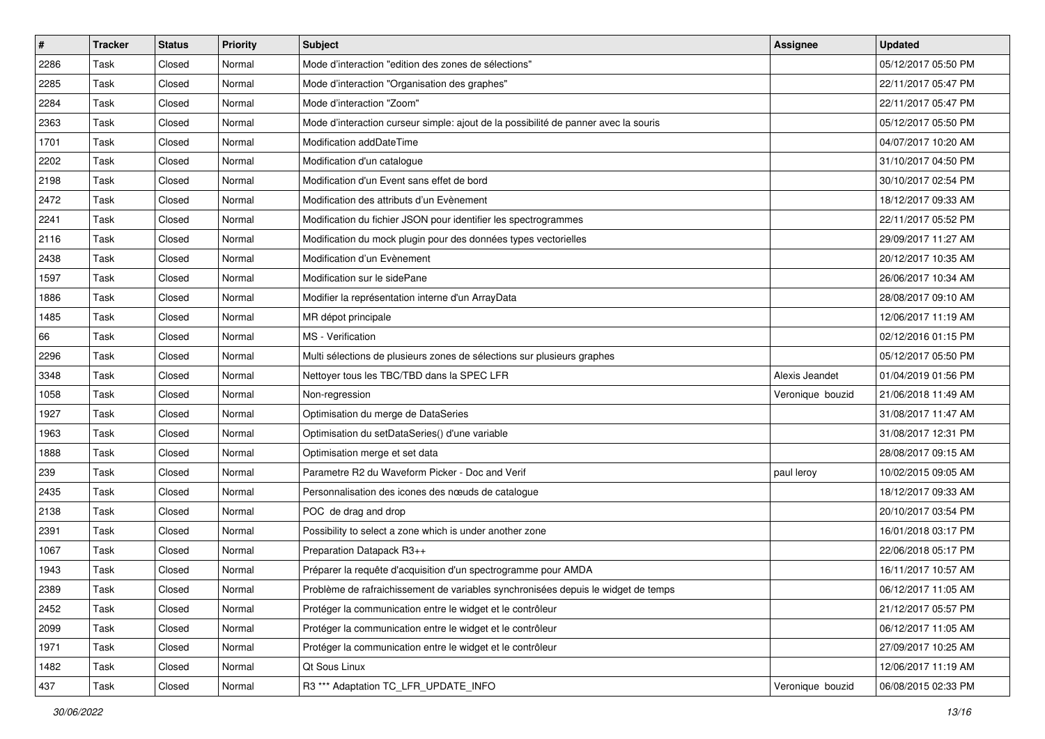| $\sharp$ | <b>Tracker</b> | <b>Status</b> | <b>Priority</b> | <b>Subject</b>                                                                      | <b>Assignee</b>  | <b>Updated</b>      |
|----------|----------------|---------------|-----------------|-------------------------------------------------------------------------------------|------------------|---------------------|
| 2286     | Task           | Closed        | Normal          | Mode d'interaction "edition des zones de sélections"                                |                  | 05/12/2017 05:50 PM |
| 2285     | Task           | Closed        | Normal          | Mode d'interaction "Organisation des graphes"                                       |                  | 22/11/2017 05:47 PM |
| 2284     | Task           | Closed        | Normal          | Mode d'interaction "Zoom"                                                           |                  | 22/11/2017 05:47 PM |
| 2363     | Task           | Closed        | Normal          | Mode d'interaction curseur simple: ajout de la possibilité de panner avec la souris |                  | 05/12/2017 05:50 PM |
| 1701     | Task           | Closed        | Normal          | Modification addDateTime                                                            |                  | 04/07/2017 10:20 AM |
| 2202     | Task           | Closed        | Normal          | Modification d'un catalogue                                                         |                  | 31/10/2017 04:50 PM |
| 2198     | Task           | Closed        | Normal          | Modification d'un Event sans effet de bord                                          |                  | 30/10/2017 02:54 PM |
| 2472     | Task           | Closed        | Normal          | Modification des attributs d'un Evènement                                           |                  | 18/12/2017 09:33 AM |
| 2241     | Task           | Closed        | Normal          | Modification du fichier JSON pour identifier les spectrogrammes                     |                  | 22/11/2017 05:52 PM |
| 2116     | Task           | Closed        | Normal          | Modification du mock plugin pour des données types vectorielles                     |                  | 29/09/2017 11:27 AM |
| 2438     | Task           | Closed        | Normal          | Modification d'un Evènement                                                         |                  | 20/12/2017 10:35 AM |
| 1597     | Task           | Closed        | Normal          | Modification sur le sidePane                                                        |                  | 26/06/2017 10:34 AM |
| 1886     | Task           | Closed        | Normal          | Modifier la représentation interne d'un ArrayData                                   |                  | 28/08/2017 09:10 AM |
| 1485     | Task           | Closed        | Normal          | MR dépot principale                                                                 |                  | 12/06/2017 11:19 AM |
| 66       | Task           | Closed        | Normal          | MS - Verification                                                                   |                  | 02/12/2016 01:15 PM |
| 2296     | Task           | Closed        | Normal          | Multi sélections de plusieurs zones de sélections sur plusieurs graphes             |                  | 05/12/2017 05:50 PM |
| 3348     | Task           | Closed        | Normal          | Nettoyer tous les TBC/TBD dans la SPEC LFR                                          | Alexis Jeandet   | 01/04/2019 01:56 PM |
| 1058     | Task           | Closed        | Normal          | Non-regression                                                                      | Veronique bouzid | 21/06/2018 11:49 AM |
| 1927     | Task           | Closed        | Normal          | Optimisation du merge de DataSeries                                                 |                  | 31/08/2017 11:47 AM |
| 1963     | Task           | Closed        | Normal          | Optimisation du setDataSeries() d'une variable                                      |                  | 31/08/2017 12:31 PM |
| 1888     | Task           | Closed        | Normal          | Optimisation merge et set data                                                      |                  | 28/08/2017 09:15 AM |
| 239      | Task           | Closed        | Normal          | Parametre R2 du Waveform Picker - Doc and Verif                                     | paul leroy       | 10/02/2015 09:05 AM |
| 2435     | Task           | Closed        | Normal          | Personnalisation des icones des nœuds de catalogue                                  |                  | 18/12/2017 09:33 AM |
| 2138     | Task           | Closed        | Normal          | POC de drag and drop                                                                |                  | 20/10/2017 03:54 PM |
| 2391     | Task           | Closed        | Normal          | Possibility to select a zone which is under another zone                            |                  | 16/01/2018 03:17 PM |
| 1067     | Task           | Closed        | Normal          | Preparation Datapack R3++                                                           |                  | 22/06/2018 05:17 PM |
| 1943     | Task           | Closed        | Normal          | Préparer la requête d'acquisition d'un spectrogramme pour AMDA                      |                  | 16/11/2017 10:57 AM |
| 2389     | Task           | Closed        | Normal          | Problème de rafraichissement de variables synchronisées depuis le widget de temps   |                  | 06/12/2017 11:05 AM |
| 2452     | Task           | Closed        | Normal          | Protéger la communication entre le widget et le contrôleur                          |                  | 21/12/2017 05:57 PM |
| 2099     | Task           | Closed        | Normal          | Protéger la communication entre le widget et le contrôleur                          |                  | 06/12/2017 11:05 AM |
| 1971     | Task           | Closed        | Normal          | Protéger la communication entre le widget et le contrôleur                          |                  | 27/09/2017 10:25 AM |
| 1482     | Task           | Closed        | Normal          | Qt Sous Linux                                                                       |                  | 12/06/2017 11:19 AM |
| 437      | Task           | Closed        | Normal          | R3 *** Adaptation TC_LFR_UPDATE_INFO                                                | Veronique bouzid | 06/08/2015 02:33 PM |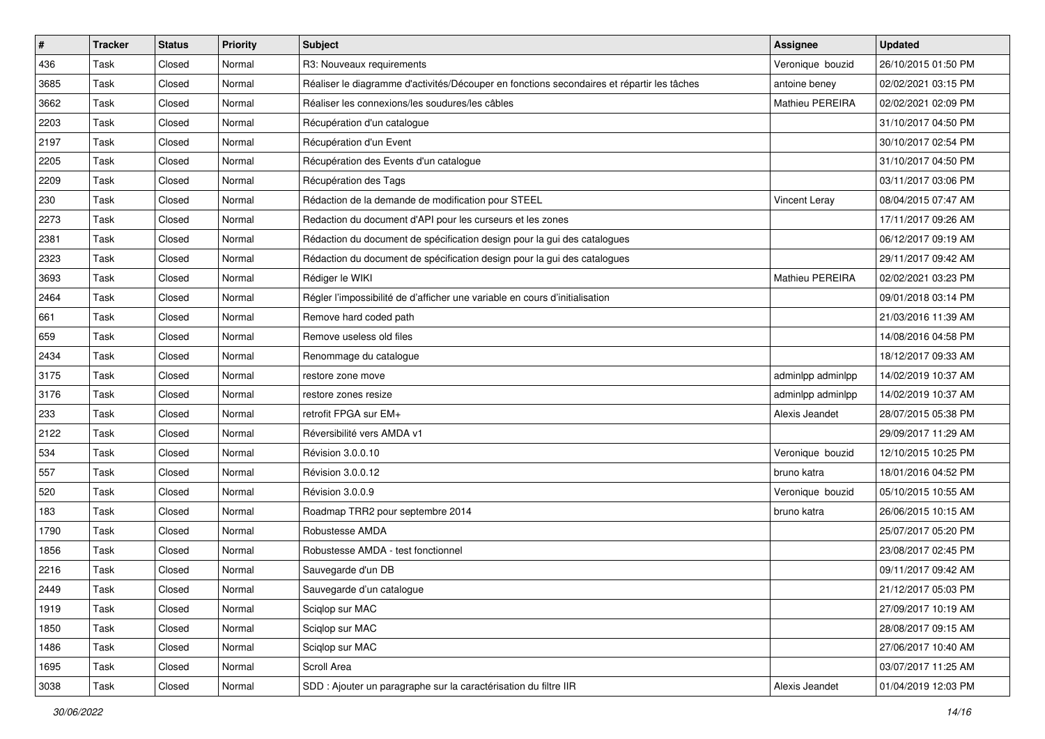| #    | <b>Tracker</b> | <b>Status</b> | <b>Priority</b> | <b>Subject</b>                                                                             | <b>Assignee</b>      | <b>Updated</b>      |
|------|----------------|---------------|-----------------|--------------------------------------------------------------------------------------------|----------------------|---------------------|
| 436  | Task           | Closed        | Normal          | R3: Nouveaux requirements                                                                  | Veronique bouzid     | 26/10/2015 01:50 PM |
| 3685 | Task           | Closed        | Normal          | Réaliser le diagramme d'activités/Découper en fonctions secondaires et répartir les tâches | antoine beney        | 02/02/2021 03:15 PM |
| 3662 | Task           | Closed        | Normal          | Réaliser les connexions/les soudures/les câbles                                            | Mathieu PEREIRA      | 02/02/2021 02:09 PM |
| 2203 | Task           | Closed        | Normal          | Récupération d'un catalogue                                                                |                      | 31/10/2017 04:50 PM |
| 2197 | Task           | Closed        | Normal          | Récupération d'un Event                                                                    |                      | 30/10/2017 02:54 PM |
| 2205 | Task           | Closed        | Normal          | Récupération des Events d'un catalogue                                                     |                      | 31/10/2017 04:50 PM |
| 2209 | Task           | Closed        | Normal          | Récupération des Tags                                                                      |                      | 03/11/2017 03:06 PM |
| 230  | Task           | Closed        | Normal          | Rédaction de la demande de modification pour STEEL                                         | <b>Vincent Leray</b> | 08/04/2015 07:47 AM |
| 2273 | Task           | Closed        | Normal          | Redaction du document d'API pour les curseurs et les zones                                 |                      | 17/11/2017 09:26 AM |
| 2381 | Task           | Closed        | Normal          | Rédaction du document de spécification design pour la gui des catalogues                   |                      | 06/12/2017 09:19 AM |
| 2323 | Task           | Closed        | Normal          | Rédaction du document de spécification design pour la gui des catalogues                   |                      | 29/11/2017 09:42 AM |
| 3693 | Task           | Closed        | Normal          | Rédiger le WIKI                                                                            | Mathieu PEREIRA      | 02/02/2021 03:23 PM |
| 2464 | Task           | Closed        | Normal          | Régler l'impossibilité de d'afficher une variable en cours d'initialisation                |                      | 09/01/2018 03:14 PM |
| 661  | Task           | Closed        | Normal          | Remove hard coded path                                                                     |                      | 21/03/2016 11:39 AM |
| 659  | Task           | Closed        | Normal          | Remove useless old files                                                                   |                      | 14/08/2016 04:58 PM |
| 2434 | Task           | Closed        | Normal          | Renommage du catalogue                                                                     |                      | 18/12/2017 09:33 AM |
| 3175 | Task           | Closed        | Normal          | restore zone move                                                                          | adminlpp adminlpp    | 14/02/2019 10:37 AM |
| 3176 | Task           | Closed        | Normal          | restore zones resize                                                                       | adminlpp adminlpp    | 14/02/2019 10:37 AM |
| 233  | Task           | Closed        | Normal          | retrofit FPGA sur EM+                                                                      | Alexis Jeandet       | 28/07/2015 05:38 PM |
| 2122 | Task           | Closed        | Normal          | Réversibilité vers AMDA v1                                                                 |                      | 29/09/2017 11:29 AM |
| 534  | Task           | Closed        | Normal          | Révision 3.0.0.10                                                                          | Veronique bouzid     | 12/10/2015 10:25 PM |
| 557  | Task           | Closed        | Normal          | Révision 3.0.0.12                                                                          | bruno katra          | 18/01/2016 04:52 PM |
| 520  | Task           | Closed        | Normal          | Révision 3.0.0.9                                                                           | Veronique bouzid     | 05/10/2015 10:55 AM |
| 183  | Task           | Closed        | Normal          | Roadmap TRR2 pour septembre 2014                                                           | bruno katra          | 26/06/2015 10:15 AM |
| 1790 | Task           | Closed        | Normal          | Robustesse AMDA                                                                            |                      | 25/07/2017 05:20 PM |
| 1856 | Task           | Closed        | Normal          | Robustesse AMDA - test fonctionnel                                                         |                      | 23/08/2017 02:45 PM |
| 2216 | Task           | Closed        | Normal          | Sauvegarde d'un DB                                                                         |                      | 09/11/2017 09:42 AM |
| 2449 | Task           | Closed        | Normal          | Sauvegarde d'un catalogue                                                                  |                      | 21/12/2017 05:03 PM |
| 1919 | Task           | Closed        | Normal          | Sciglop sur MAC                                                                            |                      | 27/09/2017 10:19 AM |
| 1850 | Task           | Closed        | Normal          | Sciqlop sur MAC                                                                            |                      | 28/08/2017 09:15 AM |
| 1486 | Task           | Closed        | Normal          | Sciqlop sur MAC                                                                            |                      | 27/06/2017 10:40 AM |
| 1695 | Task           | Closed        | Normal          | Scroll Area                                                                                |                      | 03/07/2017 11:25 AM |
| 3038 | Task           | Closed        | Normal          | SDD : Ajouter un paragraphe sur la caractérisation du filtre IIR                           | Alexis Jeandet       | 01/04/2019 12:03 PM |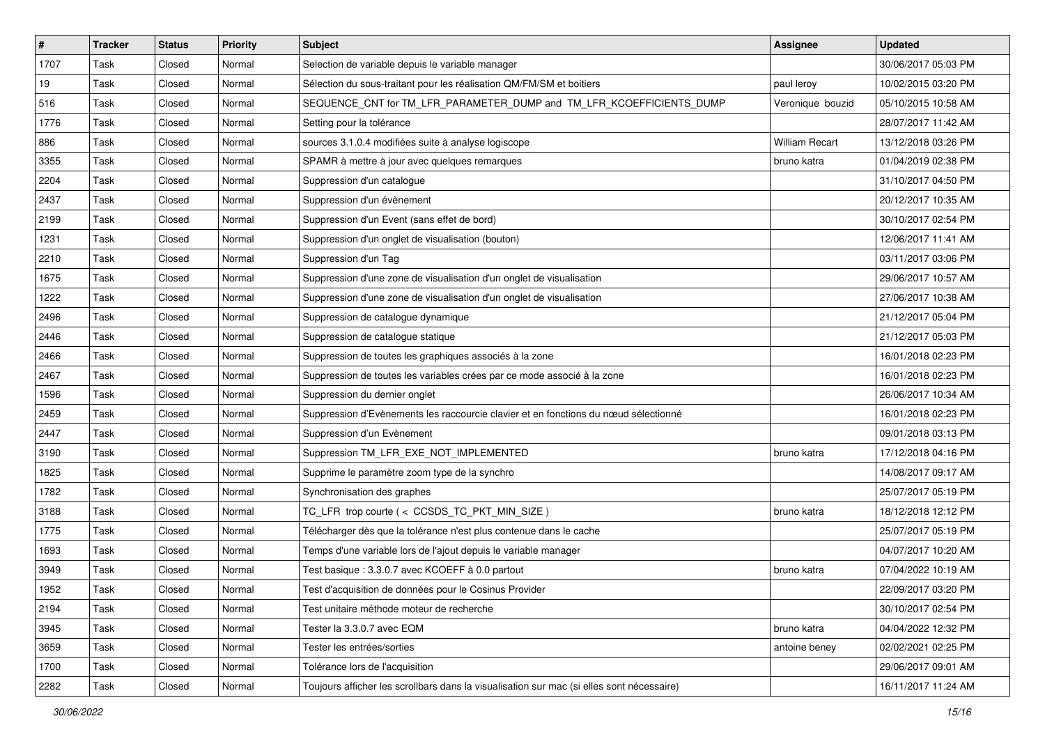| #    | <b>Tracker</b> | <b>Status</b> | <b>Priority</b> | <b>Subject</b>                                                                            | <b>Assignee</b>       | <b>Updated</b>      |
|------|----------------|---------------|-----------------|-------------------------------------------------------------------------------------------|-----------------------|---------------------|
| 1707 | Task           | Closed        | Normal          | Selection de variable depuis le variable manager                                          |                       | 30/06/2017 05:03 PM |
| 19   | Task           | Closed        | Normal          | Sélection du sous-traitant pour les réalisation QM/FM/SM et boitiers                      | paul leroy            | 10/02/2015 03:20 PM |
| 516  | Task           | Closed        | Normal          | SEQUENCE_CNT for TM_LFR_PARAMETER_DUMP and TM_LFR_KCOEFFICIENTS_DUMP                      | Veronique bouzid      | 05/10/2015 10:58 AM |
| 1776 | Task           | Closed        | Normal          | Setting pour la tolérance                                                                 |                       | 28/07/2017 11:42 AM |
| 886  | Task           | Closed        | Normal          | sources 3.1.0.4 modifiées suite à analyse logiscope                                       | <b>William Recart</b> | 13/12/2018 03:26 PM |
| 3355 | Task           | Closed        | Normal          | SPAMR à mettre à jour avec quelques remarques                                             | bruno katra           | 01/04/2019 02:38 PM |
| 2204 | Task           | Closed        | Normal          | Suppression d'un catalogue                                                                |                       | 31/10/2017 04:50 PM |
| 2437 | Task           | Closed        | Normal          | Suppression d'un évènement                                                                |                       | 20/12/2017 10:35 AM |
| 2199 | Task           | Closed        | Normal          | Suppression d'un Event (sans effet de bord)                                               |                       | 30/10/2017 02:54 PM |
| 1231 | Task           | Closed        | Normal          | Suppression d'un onglet de visualisation (bouton)                                         |                       | 12/06/2017 11:41 AM |
| 2210 | Task           | Closed        | Normal          | Suppression d'un Tag                                                                      |                       | 03/11/2017 03:06 PM |
| 1675 | Task           | Closed        | Normal          | Suppression d'une zone de visualisation d'un onglet de visualisation                      |                       | 29/06/2017 10:57 AM |
| 1222 | Task           | Closed        | Normal          | Suppression d'une zone de visualisation d'un onglet de visualisation                      |                       | 27/06/2017 10:38 AM |
| 2496 | Task           | Closed        | Normal          | Suppression de catalogue dynamique                                                        |                       | 21/12/2017 05:04 PM |
| 2446 | Task           | Closed        | Normal          | Suppression de catalogue statique                                                         |                       | 21/12/2017 05:03 PM |
| 2466 | Task           | Closed        | Normal          | Suppression de toutes les graphiques associés à la zone                                   |                       | 16/01/2018 02:23 PM |
| 2467 | Task           | Closed        | Normal          | Suppression de toutes les variables crées par ce mode associé à la zone                   |                       | 16/01/2018 02:23 PM |
| 1596 | Task           | Closed        | Normal          | Suppression du dernier onglet                                                             |                       | 26/06/2017 10:34 AM |
| 2459 | Task           | Closed        | Normal          | Suppression d'Evènements les raccourcie clavier et en fonctions du nœud sélectionné       |                       | 16/01/2018 02:23 PM |
| 2447 | Task           | Closed        | Normal          | Suppression d'un Evènement                                                                |                       | 09/01/2018 03:13 PM |
| 3190 | Task           | Closed        | Normal          | Suppression TM LFR EXE NOT IMPLEMENTED                                                    | bruno katra           | 17/12/2018 04:16 PM |
| 1825 | Task           | Closed        | Normal          | Supprime le paramètre zoom type de la synchro                                             |                       | 14/08/2017 09:17 AM |
| 1782 | Task           | Closed        | Normal          | Synchronisation des graphes                                                               |                       | 25/07/2017 05:19 PM |
| 3188 | Task           | Closed        | Normal          | TC_LFR trop courte (< CCSDS_TC_PKT_MIN_SIZE)                                              | bruno katra           | 18/12/2018 12:12 PM |
| 1775 | Task           | Closed        | Normal          | Télécharger dès que la tolérance n'est plus contenue dans le cache                        |                       | 25/07/2017 05:19 PM |
| 1693 | Task           | Closed        | Normal          | Temps d'une variable lors de l'ajout depuis le variable manager                           |                       | 04/07/2017 10:20 AM |
| 3949 | Task           | Closed        | Normal          | Test basique : 3.3.0.7 avec KCOEFF à 0.0 partout                                          | bruno katra           | 07/04/2022 10:19 AM |
| 1952 | Task           | Closed        | Normal          | Test d'acquisition de données pour le Cosinus Provider                                    |                       | 22/09/2017 03:20 PM |
| 2194 | Task           | Closed        | Normal          | Test unitaire méthode moteur de recherche                                                 |                       | 30/10/2017 02:54 PM |
| 3945 | Task           | Closed        | Normal          | Tester la 3.3.0.7 avec EQM                                                                | bruno katra           | 04/04/2022 12:32 PM |
| 3659 | Task           | Closed        | Normal          | Tester les entrées/sorties                                                                | antoine beney         | 02/02/2021 02:25 PM |
| 1700 | Task           | Closed        | Normal          | Tolérance lors de l'acquisition                                                           |                       | 29/06/2017 09:01 AM |
| 2282 | Task           | Closed        | Normal          | Toujours afficher les scrollbars dans la visualisation sur mac (si elles sont nécessaire) |                       | 16/11/2017 11:24 AM |